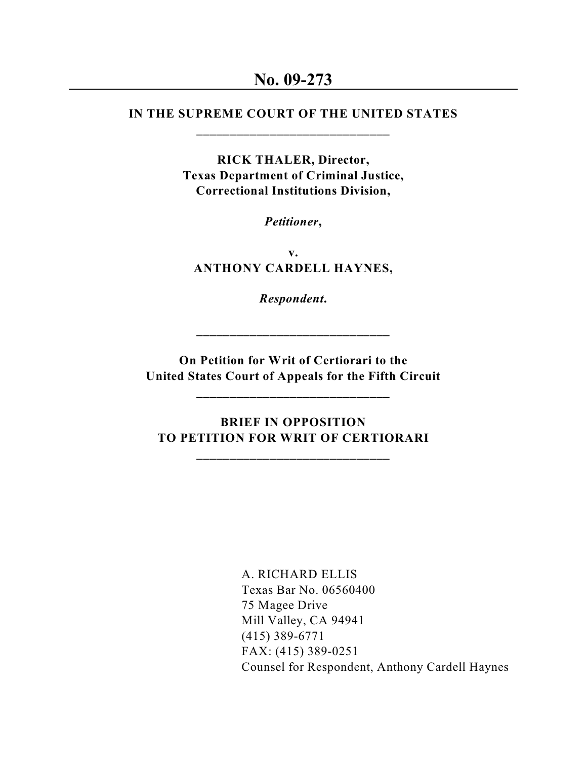## **IN THE SUPREME COURT OF THE UNITED STATES \_\_\_\_\_\_\_\_\_\_\_\_\_\_\_\_\_\_\_\_\_\_\_\_\_\_\_\_\_**

**RICK THALER, Director, Texas Department of Criminal Justice, Correctional Institutions Division,**

*Petitioner***,**

**v. ANTHONY CARDELL HAYNES,**

*Respondent***.**

**\_\_\_\_\_\_\_\_\_\_\_\_\_\_\_\_\_\_\_\_\_\_\_\_\_\_\_\_\_**

**On Petition for Writ of Certiorari to the United States Court of Appeals for the Fifth Circuit**

**\_\_\_\_\_\_\_\_\_\_\_\_\_\_\_\_\_\_\_\_\_\_\_\_\_\_\_\_\_**

 **BRIEF IN OPPOSITION TO PETITION FOR WRIT OF CERTIORARI**

**\_\_\_\_\_\_\_\_\_\_\_\_\_\_\_\_\_\_\_\_\_\_\_\_\_\_\_\_\_**

A. RICHARD ELLIS Texas Bar No. 06560400 75 Magee Drive Mill Valley, CA 94941 (415) 389-6771 FAX: (415) 389-0251 Counsel for Respondent, Anthony Cardell Haynes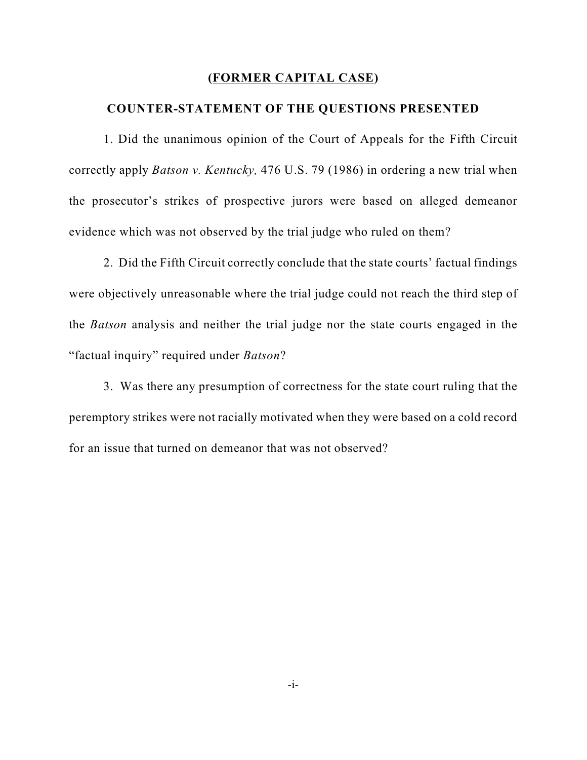### **(FORMER CAPITAL CASE)**

### **COUNTER-STATEMENT OF THE QUESTIONS PRESENTED**

1. Did the unanimous opinion of the Court of Appeals for the Fifth Circuit correctly apply *Batson v. Kentucky,* 476 U.S. 79 (1986) in ordering a new trial when the prosecutor's strikes of prospective jurors were based on alleged demeanor evidence which was not observed by the trial judge who ruled on them?

2. Did the Fifth Circuit correctly conclude that the state courts' factual findings were objectively unreasonable where the trial judge could not reach the third step of the *Batson* analysis and neither the trial judge nor the state courts engaged in the "factual inquiry" required under *Batson*?

3. Was there any presumption of correctness for the state court ruling that the peremptory strikes were not racially motivated when they were based on a cold record for an issue that turned on demeanor that was not observed?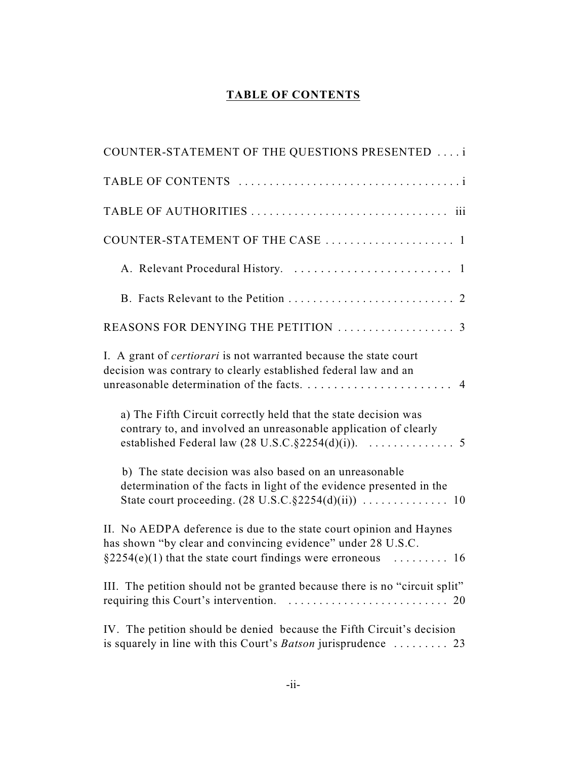## **TABLE OF CONTENTS**

| COUNTER-STATEMENT OF THE QUESTIONS PRESENTED                                                                                                                                                           |
|--------------------------------------------------------------------------------------------------------------------------------------------------------------------------------------------------------|
|                                                                                                                                                                                                        |
|                                                                                                                                                                                                        |
| COUNTER-STATEMENT OF THE CASE  1                                                                                                                                                                       |
|                                                                                                                                                                                                        |
|                                                                                                                                                                                                        |
|                                                                                                                                                                                                        |
| I. A grant of <i>certiorari</i> is not warranted because the state court<br>decision was contrary to clearly established federal law and an                                                            |
| a) The Fifth Circuit correctly held that the state decision was<br>contrary to, and involved an unreasonable application of clearly                                                                    |
| b) The state decision was also based on an unreasonable<br>determination of the facts in light of the evidence presented in the                                                                        |
| II. No AEDPA deference is due to the state court opinion and Haynes<br>has shown "by clear and convincing evidence" under 28 U.S.C.<br>$\S2254(e)(1)$ that the state court findings were erroneous  16 |
| III. The petition should not be granted because there is no "circuit split"                                                                                                                            |
| IV. The petition should be denied because the Fifth Circuit's decision<br>is squarely in line with this Court's Batson jurisprudence  23                                                               |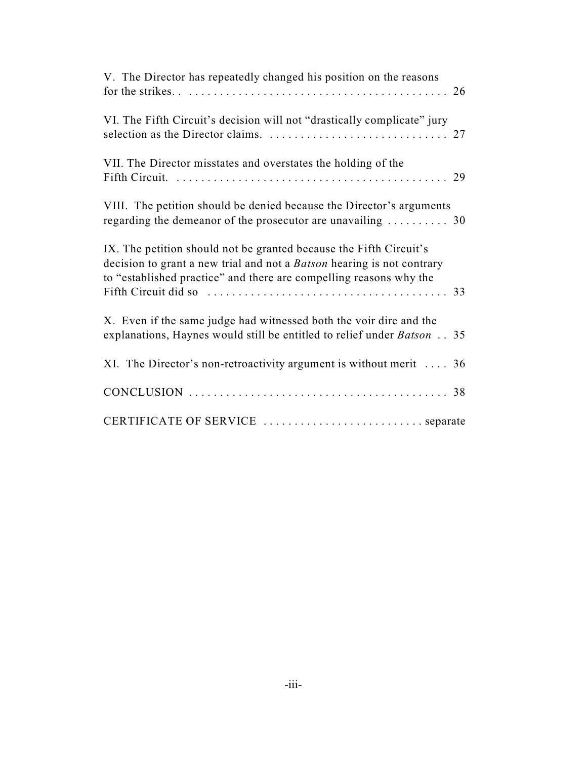| V. The Director has repeatedly changed his position on the reasons                                                                                                                                                 |
|--------------------------------------------------------------------------------------------------------------------------------------------------------------------------------------------------------------------|
| VI. The Fifth Circuit's decision will not "drastically complicate" jury                                                                                                                                            |
| VII. The Director misstates and overstates the holding of the                                                                                                                                                      |
| VIII. The petition should be denied because the Director's arguments<br>regarding the demeanor of the prosecutor are unavailing $\ldots \ldots \ldots$ 30                                                          |
| IX. The petition should not be granted because the Fifth Circuit's<br>decision to grant a new trial and not a Batson hearing is not contrary<br>to "established practice" and there are compelling reasons why the |
| X. Even if the same judge had witnessed both the voir dire and the<br>explanations, Haynes would still be entitled to relief under Batson 35                                                                       |
| XI. The Director's non-retroactivity argument is without merit $\dots$ 36                                                                                                                                          |
|                                                                                                                                                                                                                    |
| CERTIFICATE OF SERVICE  separate                                                                                                                                                                                   |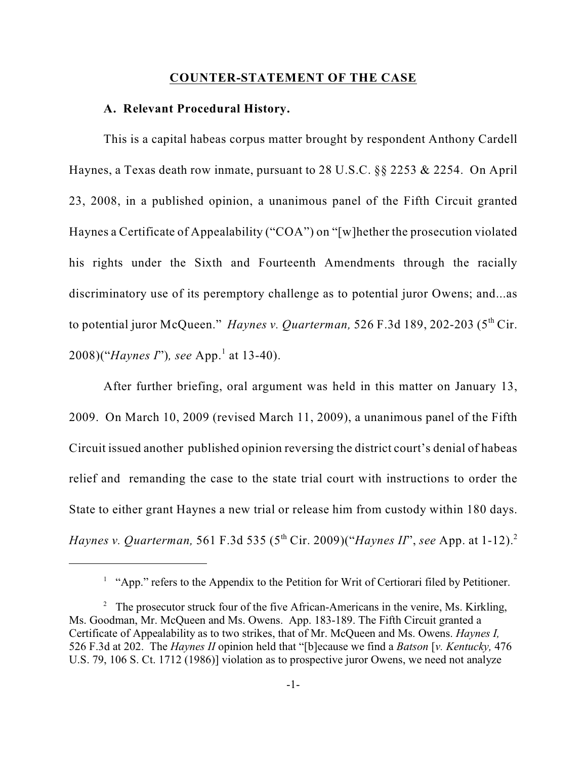#### **COUNTER-STATEMENT OF THE CASE**

#### **A. Relevant Procedural History.**

This is a capital habeas corpus matter brought by respondent Anthony Cardell Haynes, a Texas death row inmate, pursuant to 28 U.S.C. §§ 2253 & 2254. On April 23, 2008, in a published opinion, a unanimous panel of the Fifth Circuit granted Haynes a Certificate of Appealability ("COA") on "[w]hether the prosecution violated his rights under the Sixth and Fourteenth Amendments through the racially discriminatory use of its peremptory challenge as to potential juror Owens; and...as to potential juror McQueen." *Haynes v. Quarterman*, 526 F.3d 189, 202-203 (5<sup>th</sup> Cir. 2008)("*Haynes I*"), see App.<sup>1</sup> at 13-40).

After further briefing, oral argument was held in this matter on January 13, 2009. On March 10, 2009 (revised March 11, 2009), a unanimous panel of the Fifth Circuit issued another published opinion reversing the district court's denial of habeas relief and remanding the case to the state trial court with instructions to order the State to either grant Haynes a new trial or release him from custody within 180 days. *Haynes v. Quarterman,* 561 F.3d 535 (5<sup>th</sup> Cir. 2009)("*Haynes II*", *see* App. at 1-12).<sup>2</sup>

 $^1$  "App." refers to the Appendix to the Petition for Writ of Certiorari filed by Petitioner.

<sup>&</sup>lt;sup>2</sup> The prosecutor struck four of the five African-Americans in the venire, Ms. Kirkling, Ms. Goodman, Mr. McQueen and Ms. Owens. App. 183-189. The Fifth Circuit granted a Certificate of Appealability as to two strikes, that of Mr. McQueen and Ms. Owens. *Haynes I,* 526 F.3d at 202. The *Haynes II* opinion held that "[b]ecause we find a *Batson* [*v. Kentucky,* 476 U.S. 79, 106 S. Ct. 1712 (1986)] violation as to prospective juror Owens, we need not analyze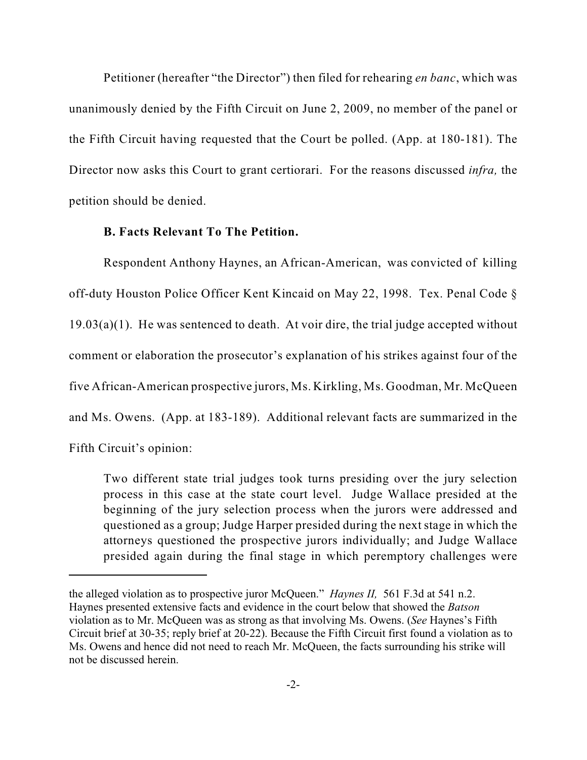Petitioner (hereafter "the Director") then filed for rehearing *en banc*, which was unanimously denied by the Fifth Circuit on June 2, 2009, no member of the panel or the Fifth Circuit having requested that the Court be polled. (App. at 180-181). The Director now asks this Court to grant certiorari. For the reasons discussed *infra,* the petition should be denied.

### **B. Facts Relevant To The Petition.**

Respondent Anthony Haynes, an African-American, was convicted of killing off-duty Houston Police Officer Kent Kincaid on May 22, 1998. Tex. Penal Code §  $19.03(a)(1)$ . He was sentenced to death. At voir dire, the trial judge accepted without comment or elaboration the prosecutor's explanation of his strikes against four of the five African-American prospective jurors, Ms. Kirkling, Ms. Goodman, Mr. McQueen and Ms. Owens. (App. at 183-189). Additional relevant facts are summarized in the Fifth Circuit's opinion:

Two different state trial judges took turns presiding over the jury selection process in this case at the state court level. Judge Wallace presided at the beginning of the jury selection process when the jurors were addressed and questioned as a group; Judge Harper presided during the next stage in which the attorneys questioned the prospective jurors individually; and Judge Wallace presided again during the final stage in which peremptory challenges were

the alleged violation as to prospective juror McQueen." *Haynes II,* 561 F.3d at 541 n.2. Haynes presented extensive facts and evidence in the court below that showed the *Batson* violation as to Mr. McQueen was as strong as that involving Ms. Owens. (*See* Haynes's Fifth Circuit brief at 30-35; reply brief at 20-22). Because the Fifth Circuit first found a violation as to Ms. Owens and hence did not need to reach Mr. McQueen, the facts surrounding his strike will not be discussed herein.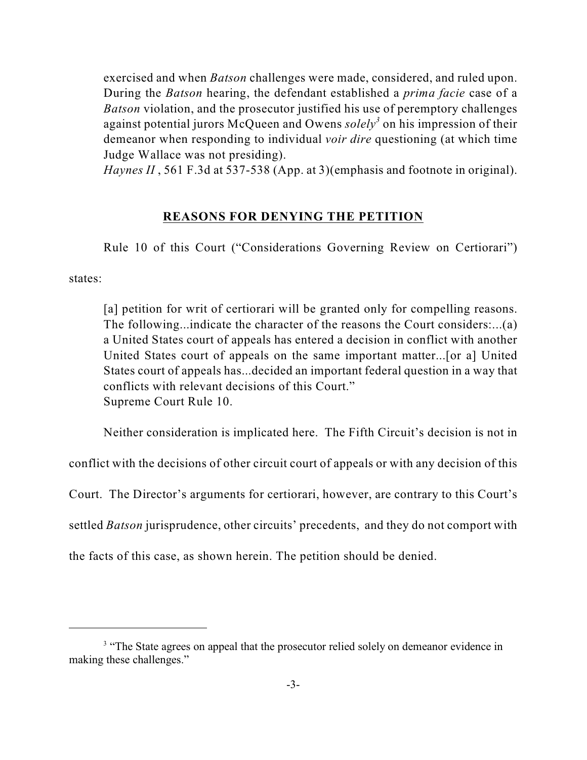exercised and when *Batson* challenges were made, considered, and ruled upon. During the *Batson* hearing, the defendant established a *prima facie* case of a *Batson* violation, and the prosecutor justified his use of peremptory challenges against potential jurors McQueen and Owens *solely*<sup>3</sup> on his impression of their demeanor when responding to individual *voir dire* questioning (at which time Judge Wallace was not presiding).

*Haynes II* , 561 F.3d at 537-538 (App. at 3)(emphasis and footnote in original).

### **REASONS FOR DENYING THE PETITION**

Rule 10 of this Court ("Considerations Governing Review on Certiorari")

states:

[a] petition for writ of certiorari will be granted only for compelling reasons. The following...indicate the character of the reasons the Court considers:...(a) a United States court of appeals has entered a decision in conflict with another United States court of appeals on the same important matter...[or a] United States court of appeals has...decided an important federal question in a way that conflicts with relevant decisions of this Court." Supreme Court Rule 10.

Neither consideration is implicated here. The Fifth Circuit's decision is not in

conflict with the decisions of other circuit court of appeals or with any decision of this

Court. The Director's arguments for certiorari, however, are contrary to this Court's

settled *Batson* jurisprudence, other circuits' precedents, and they do not comport with

the facts of this case, as shown herein. The petition should be denied.

<sup>&</sup>lt;sup>3</sup> "The State agrees on appeal that the prosecutor relied solely on demeanor evidence in making these challenges."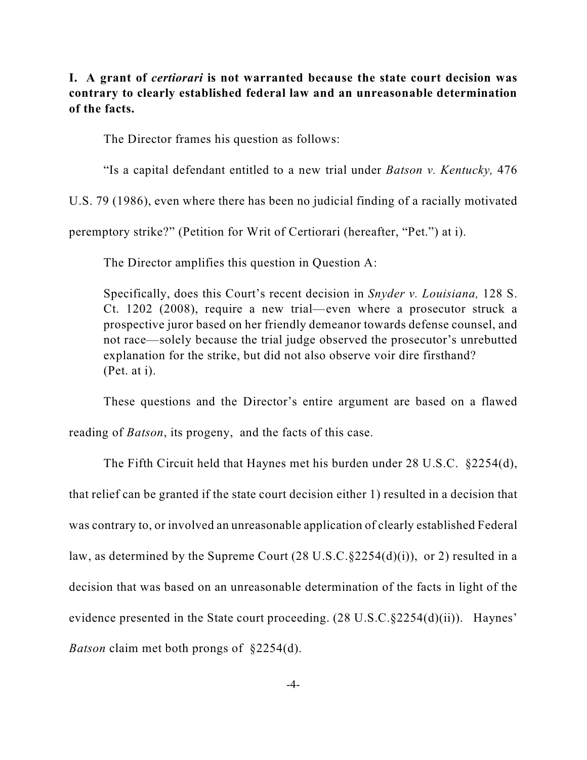**I. A grant of** *certiorari* **is not warranted because the state court decision was contrary to clearly established federal law and an unreasonable determination of the facts.** 

The Director frames his question as follows:

"Is a capital defendant entitled to a new trial under *Batson v. Kentucky,* 476

U.S. 79 (1986), even where there has been no judicial finding of a racially motivated

peremptory strike?" (Petition for Writ of Certiorari (hereafter, "Pet.") at i).

The Director amplifies this question in Question A:

Specifically, does this Court's recent decision in *Snyder v. Louisiana,* 128 S. Ct. 1202 (2008), require a new trial—even where a prosecutor struck a prospective juror based on her friendly demeanor towards defense counsel, and not race—solely because the trial judge observed the prosecutor's unrebutted explanation for the strike, but did not also observe voir dire firsthand? (Pet. at i).

These questions and the Director's entire argument are based on a flawed reading of *Batson*, its progeny, and the facts of this case.

The Fifth Circuit held that Haynes met his burden under 28 U.S.C. §2254(d), that relief can be granted if the state court decision either 1) resulted in a decision that was contrary to, or involved an unreasonable application of clearly established Federal law, as determined by the Supreme Court (28 U.S.C.§2254(d)(i)), or 2) resulted in a decision that was based on an unreasonable determination of the facts in light of the evidence presented in the State court proceeding. (28 U.S.C.§2254(d)(ii)). Haynes' *Batson* claim met both prongs of §2254(d).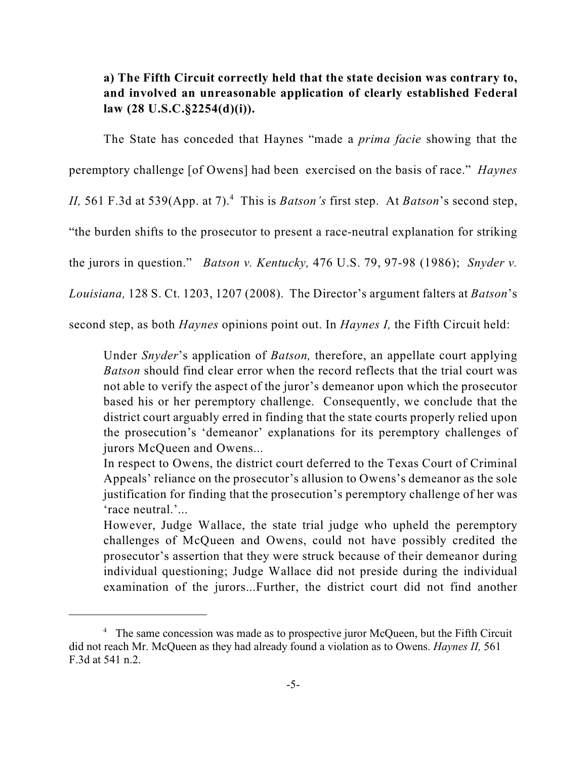## **a) The Fifth Circuit correctly held that the state decision was contrary to, and involved an unreasonable application of clearly established Federal law (28 U.S.C.§2254(d)(i)).**

The State has conceded that Haynes "made a *prima facie* showing that the peremptory challenge [of Owens] had been exercised on the basis of race." *Haynes II*, 561 F.3d at 539(App. at 7).<sup>4</sup> This is *Batson's* first step. At *Batson's* second step, "the burden shifts to the prosecutor to present a race-neutral explanation for striking the jurors in question." *Batson v. Kentucky,* 476 U.S. 79, 97-98 (1986); *Snyder v. Louisiana,* 128 S. Ct. 1203, 1207 (2008). The Director's argument falters at *Batson*'s second step, as both *Haynes* opinions point out. In *Haynes I,* the Fifth Circuit held:

Under *Snyder*'s application of *Batson,* therefore, an appellate court applying *Batson* should find clear error when the record reflects that the trial court was not able to verify the aspect of the juror's demeanor upon which the prosecutor based his or her peremptory challenge. Consequently, we conclude that the district court arguably erred in finding that the state courts properly relied upon the prosecution's 'demeanor' explanations for its peremptory challenges of jurors McQueen and Owens...

In respect to Owens, the district court deferred to the Texas Court of Criminal Appeals' reliance on the prosecutor's allusion to Owens's demeanor as the sole justification for finding that the prosecution's peremptory challenge of her was 'race neutral.'...

However, Judge Wallace, the state trial judge who upheld the peremptory challenges of McQueen and Owens, could not have possibly credited the prosecutor's assertion that they were struck because of their demeanor during individual questioning; Judge Wallace did not preside during the individual examination of the jurors...Further, the district court did not find another

<sup>&</sup>lt;sup>4</sup> The same concession was made as to prospective juror McQueen, but the Fifth Circuit did not reach Mr. McQueen as they had already found a violation as to Owens. *Haynes II,* 561 F.3d at 541 n.2.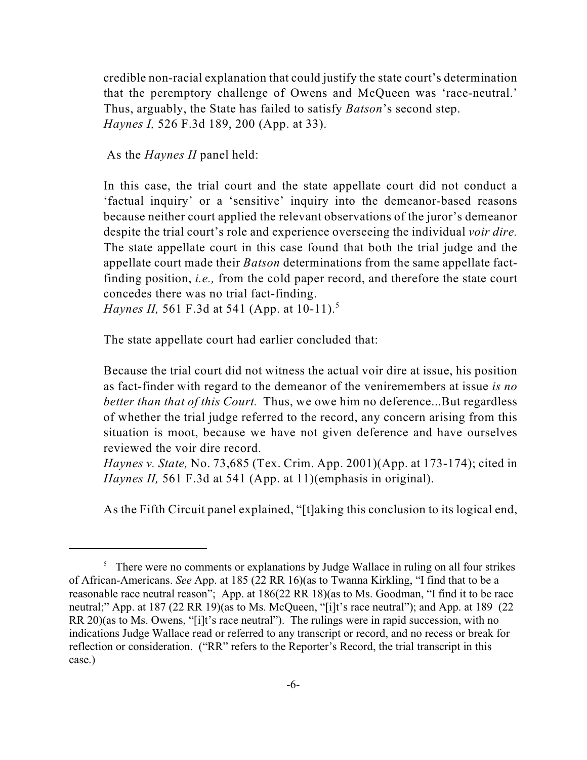credible non-racial explanation that could justify the state court's determination that the peremptory challenge of Owens and McQueen was 'race-neutral.' Thus, arguably, the State has failed to satisfy *Batson*'s second step. *Haynes I,* 526 F.3d 189, 200 (App. at 33).

As the *Haynes II* panel held:

In this case, the trial court and the state appellate court did not conduct a 'factual inquiry' or a 'sensitive' inquiry into the demeanor-based reasons because neither court applied the relevant observations of the juror's demeanor despite the trial court's role and experience overseeing the individual *voir dire.* The state appellate court in this case found that both the trial judge and the appellate court made their *Batson* determinations from the same appellate factfinding position, *i.e.,* from the cold paper record, and therefore the state court concedes there was no trial fact-finding.

*Haynes II*, 561 F.3d at 541 (App. at 10-11).<sup>5</sup>

The state appellate court had earlier concluded that:

Because the trial court did not witness the actual voir dire at issue, his position as fact-finder with regard to the demeanor of the veniremembers at issue *is no better than that of this Court.* Thus, we owe him no deference...But regardless of whether the trial judge referred to the record, any concern arising from this situation is moot, because we have not given deference and have ourselves reviewed the voir dire record.

*Haynes v. State,* No. 73,685 (Tex. Crim. App. 2001)(App. at 173-174); cited in *Haynes II,* 561 F.3d at 541 (App. at 11)(emphasis in original).

As the Fifth Circuit panel explained, "[t]aking this conclusion to its logical end,

 $\frac{5}{10}$ . There were no comments or explanations by Judge Wallace in ruling on all four strikes of African-Americans. *See* App. at 185 (22 RR 16)(as to Twanna Kirkling, "I find that to be a reasonable race neutral reason"; App. at 186(22 RR 18)(as to Ms. Goodman, "I find it to be race neutral;" App. at 187 (22 RR 19)(as to Ms. McQueen, "[i]t's race neutral"); and App. at 189 (22 RR 20)(as to Ms. Owens, "[i]t's race neutral"). The rulings were in rapid succession, with no indications Judge Wallace read or referred to any transcript or record, and no recess or break for reflection or consideration. ("RR" refers to the Reporter's Record, the trial transcript in this case.)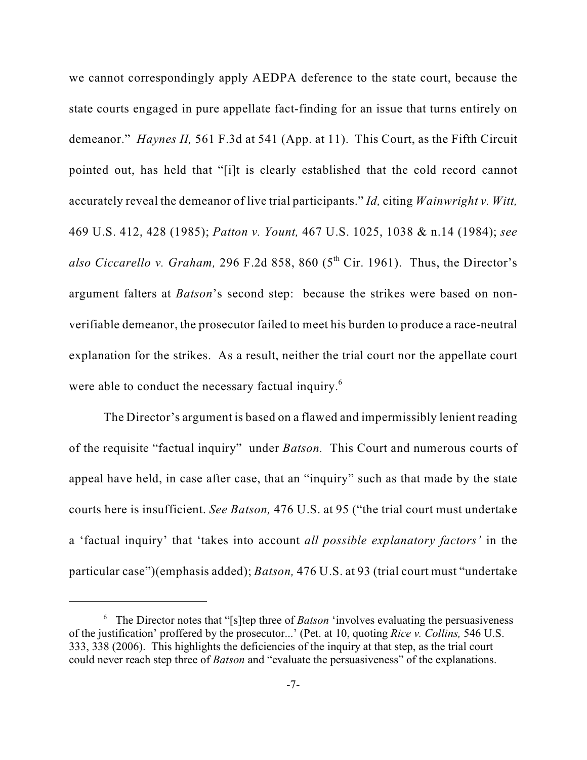we cannot correspondingly apply AEDPA deference to the state court, because the state courts engaged in pure appellate fact-finding for an issue that turns entirely on demeanor." *Haynes II*, 561 F.3d at 541 (App. at 11). This Court, as the Fifth Circuit pointed out, has held that "[i]t is clearly established that the cold record cannot accurately reveal the demeanor of live trial participants." *Id,* citing *Wainwright v. Witt,* 469 U.S. 412, 428 (1985); *Patton v. Yount,* 467 U.S. 1025, 1038 & n.14 (1984); *see also Ciccarello v. Graham,* 296 F.2d 858, 860 ( $5<sup>th</sup>$  Cir. 1961). Thus, the Director's argument falters at *Batson*'s second step: because the strikes were based on nonverifiable demeanor, the prosecutor failed to meet his burden to produce a race-neutral explanation for the strikes. As a result, neither the trial court nor the appellate court were able to conduct the necessary factual inquiry.<sup>6</sup>

The Director's argument is based on a flawed and impermissibly lenient reading of the requisite "factual inquiry" under *Batson.* This Court and numerous courts of appeal have held, in case after case, that an "inquiry" such as that made by the state courts here is insufficient. *See Batson,* 476 U.S. at 95 ("the trial court must undertake a 'factual inquiry' that 'takes into account *all possible explanatory factors'* in the particular case")(emphasis added); *Batson,* 476 U.S. at 93 (trial court must "undertake

<sup>&</sup>lt;sup>6</sup> The Director notes that "[s]tep three of *Batson* 'involves evaluating the persuasiveness of the justification' proffered by the prosecutor...' (Pet. at 10, quoting *Rice v. Collins,* 546 U.S. 333, 338 (2006). This highlights the deficiencies of the inquiry at that step, as the trial court could never reach step three of *Batson* and "evaluate the persuasiveness" of the explanations.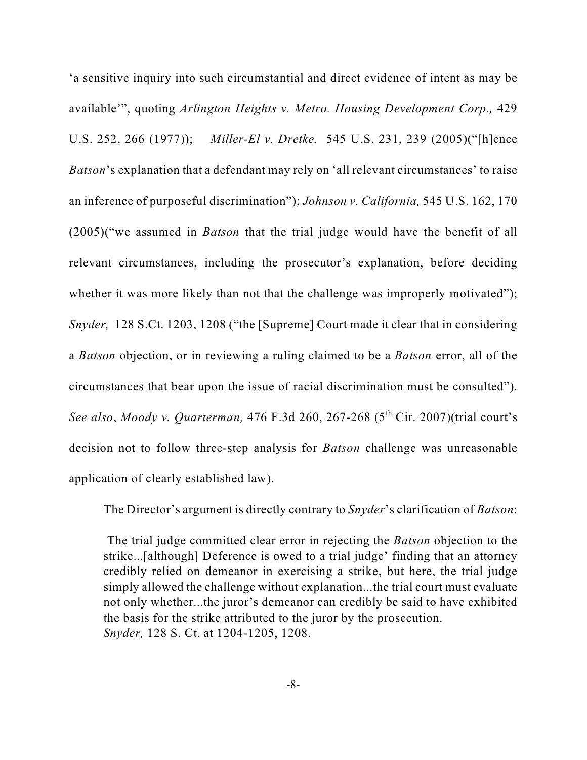'a sensitive inquiry into such circumstantial and direct evidence of intent as may be available'", quoting *Arlington Heights v. Metro. Housing Development Corp.,* 429 U.S. 252, 266 (1977)); *Miller-El v. Dretke,* 545 U.S. 231, 239 (2005)("[h]ence *Batson*'s explanation that a defendant may rely on 'all relevant circumstances' to raise an inference of purposeful discrimination"); *Johnson v. California,* 545 U.S. 162, 170 (2005)("we assumed in *Batson* that the trial judge would have the benefit of all relevant circumstances, including the prosecutor's explanation, before deciding whether it was more likely than not that the challenge was improperly motivated"); *Snyder,* 128 S.Ct. 1203, 1208 ("the [Supreme] Court made it clear that in considering a *Batson* objection, or in reviewing a ruling claimed to be a *Batson* error, all of the circumstances that bear upon the issue of racial discrimination must be consulted"). *See also, Moody v. Quarterman,* 476 F.3d 260, 267-268 (5<sup>th</sup> Cir. 2007)(trial court's decision not to follow three-step analysis for *Batson* challenge was unreasonable application of clearly established law).

The Director's argument is directly contrary to *Snyder*'s clarification of *Batson*:

 The trial judge committed clear error in rejecting the *Batson* objection to the strike...[although] Deference is owed to a trial judge' finding that an attorney credibly relied on demeanor in exercising a strike, but here, the trial judge simply allowed the challenge without explanation...the trial court must evaluate not only whether...the juror's demeanor can credibly be said to have exhibited the basis for the strike attributed to the juror by the prosecution. *Snyder,* 128 S. Ct. at 1204-1205, 1208.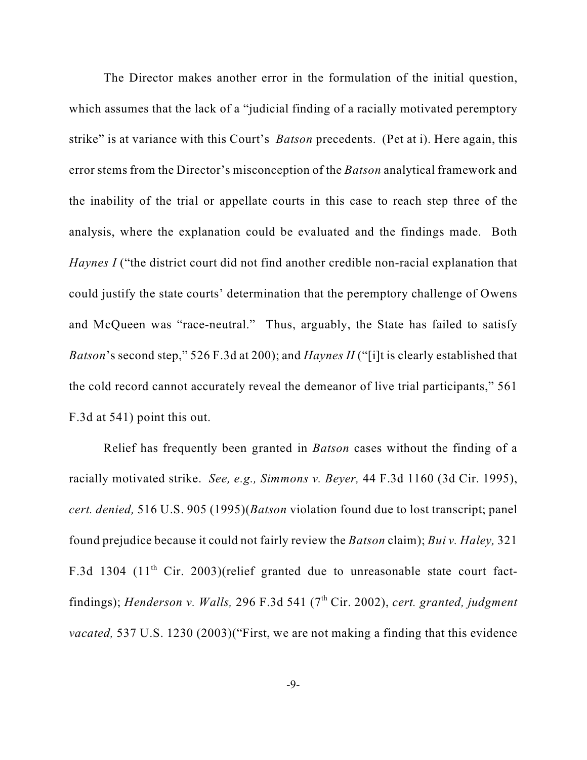The Director makes another error in the formulation of the initial question, which assumes that the lack of a "judicial finding of a racially motivated peremptory strike" is at variance with this Court's *Batson* precedents. (Pet at i). Here again, this error stems from the Director's misconception of the *Batson* analytical framework and the inability of the trial or appellate courts in this case to reach step three of the analysis, where the explanation could be evaluated and the findings made. Both *Haynes I* ("the district court did not find another credible non-racial explanation that could justify the state courts' determination that the peremptory challenge of Owens and McQueen was "race-neutral." Thus, arguably, the State has failed to satisfy *Batson*'s second step," 526 F.3d at 200); and *Haynes II* ("[i]t is clearly established that the cold record cannot accurately reveal the demeanor of live trial participants," 561 F.3d at 541) point this out.

Relief has frequently been granted in *Batson* cases without the finding of a racially motivated strike. *See, e.g., Simmons v. Beyer,* 44 F.3d 1160 (3d Cir. 1995), *cert. denied,* 516 U.S. 905 (1995)(*Batson* violation found due to lost transcript; panel found prejudice because it could not fairly review the *Batson* claim); *Bui v. Haley,* 321 F.3d 1304 (11<sup>th</sup> Cir. 2003)(relief granted due to unreasonable state court factfindings); *Henderson v. Walls,* 296 F.3d 541 (7<sup>th</sup> Cir. 2002), *cert. granted, judgment vacated,* 537 U.S. 1230 (2003)("First, we are not making a finding that this evidence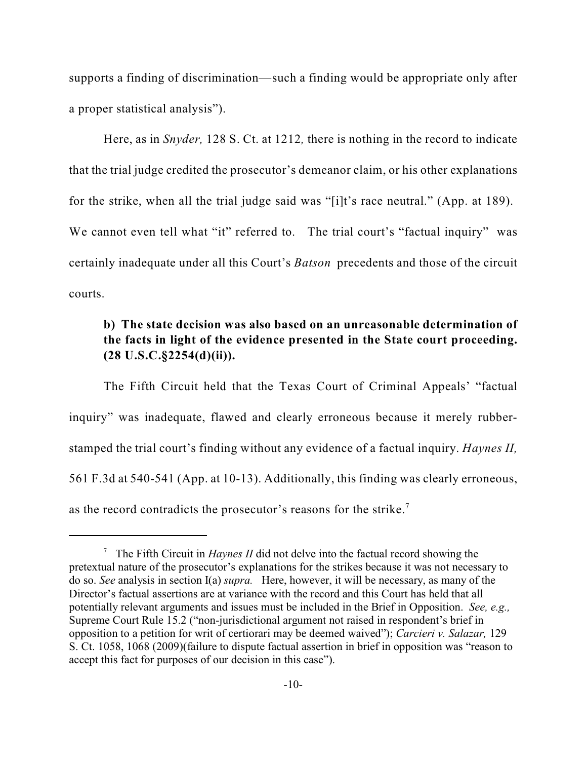supports a finding of discrimination—such a finding would be appropriate only after a proper statistical analysis").

Here, as in *Snyder,* 128 S. Ct. at 1212*,* there is nothing in the record to indicate that the trial judge credited the prosecutor's demeanor claim, or his other explanations for the strike, when all the trial judge said was "[i]t's race neutral." (App. at 189). We cannot even tell what "it" referred to. The trial court's "factual inquiry" was certainly inadequate under all this Court's *Batson* precedents and those of the circuit courts.

## **b) The state decision was also based on an unreasonable determination of the facts in light of the evidence presented in the State court proceeding. (28 U.S.C.§2254(d)(ii)).**

The Fifth Circuit held that the Texas Court of Criminal Appeals' "factual inquiry" was inadequate, flawed and clearly erroneous because it merely rubberstamped the trial court's finding without any evidence of a factual inquiry. *Haynes II,* 561 F.3d at 540-541 (App. at 10-13). Additionally, this finding was clearly erroneous, as the record contradicts the prosecutor's reasons for the strike.<sup>7</sup>

 $\frac{7}{1}$  The Fifth Circuit in *Haynes II* did not delve into the factual record showing the pretextual nature of the prosecutor's explanations for the strikes because it was not necessary to do so. *See* analysis in section I(a) *supra.* Here, however, it will be necessary, as many of the Director's factual assertions are at variance with the record and this Court has held that all potentially relevant arguments and issues must be included in the Brief in Opposition. *See, e.g.,* Supreme Court Rule 15.2 ("non-jurisdictional argument not raised in respondent's brief in opposition to a petition for writ of certiorari may be deemed waived"); *Carcieri v. Salazar,* 129 S. Ct. 1058, 1068 (2009)(failure to dispute factual assertion in brief in opposition was "reason to accept this fact for purposes of our decision in this case").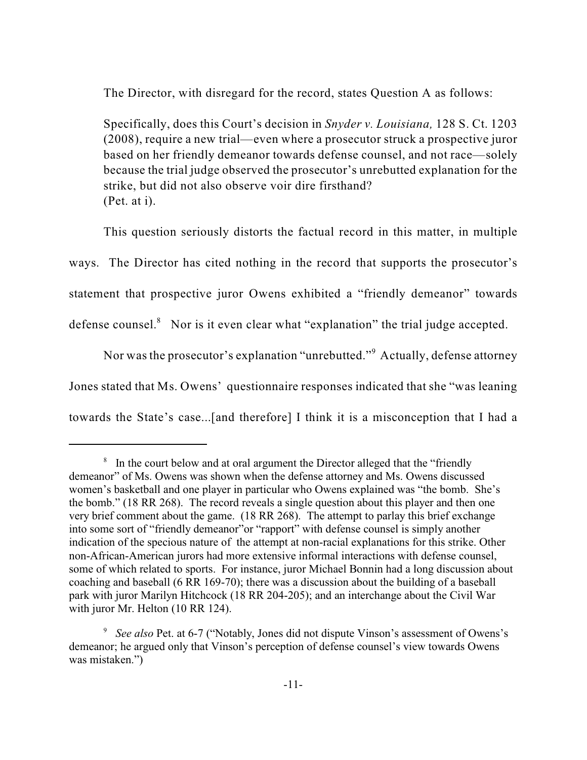The Director, with disregard for the record, states Question A as follows:

Specifically, does this Court's decision in *Snyder v. Louisiana,* 128 S. Ct. 1203 (2008), require a new trial—even where a prosecutor struck a prospective juror based on her friendly demeanor towards defense counsel, and not race—solely because the trial judge observed the prosecutor's unrebutted explanation for the strike, but did not also observe voir dire firsthand? (Pet. at i).

This question seriously distorts the factual record in this matter, in multiple ways. The Director has cited nothing in the record that supports the prosecutor's statement that prospective juror Owens exhibited a "friendly demeanor" towards defense counsel. $8$  Nor is it even clear what "explanation" the trial judge accepted.

Nor was the prosecutor's explanation "unrebutted."<sup>9</sup> Actually, defense attorney Jones stated that Ms. Owens' questionnaire responses indicated that she "was leaning towards the State's case...[and therefore] I think it is a misconception that I had a

 $\delta$  In the court below and at oral argument the Director alleged that the "friendly" demeanor" of Ms. Owens was shown when the defense attorney and Ms. Owens discussed women's basketball and one player in particular who Owens explained was "the bomb. She's the bomb." (18 RR 268). The record reveals a single question about this player and then one very brief comment about the game. (18 RR 268). The attempt to parlay this brief exchange into some sort of "friendly demeanor"or "rapport" with defense counsel is simply another indication of the specious nature of the attempt at non-racial explanations for this strike. Other non-African-American jurors had more extensive informal interactions with defense counsel, some of which related to sports. For instance, juror Michael Bonnin had a long discussion about coaching and baseball (6 RR 169-70); there was a discussion about the building of a baseball park with juror Marilyn Hitchcock (18 RR 204-205); and an interchange about the Civil War with juror Mr. Helton (10 RR 124).

<sup>&</sup>lt;sup>9</sup> See also Pet. at 6-7 ("Notably, Jones did not dispute Vinson's assessment of Owens's demeanor; he argued only that Vinson's perception of defense counsel's view towards Owens was mistaken.")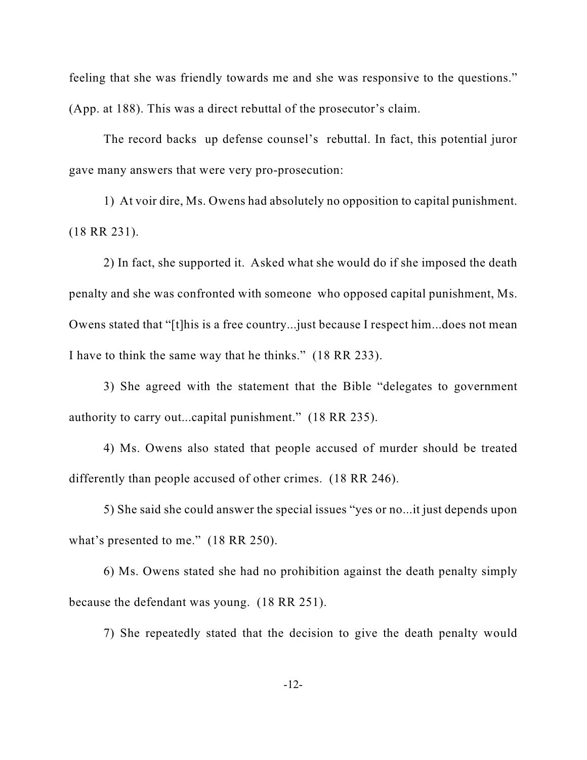feeling that she was friendly towards me and she was responsive to the questions." (App. at 188). This was a direct rebuttal of the prosecutor's claim.

The record backs up defense counsel's rebuttal. In fact, this potential juror gave many answers that were very pro-prosecution:

1) At voir dire, Ms. Owens had absolutely no opposition to capital punishment. (18 RR 231).

2) In fact, she supported it. Asked what she would do if she imposed the death penalty and she was confronted with someone who opposed capital punishment, Ms. Owens stated that "[t]his is a free country...just because I respect him...does not mean I have to think the same way that he thinks." (18 RR 233).

3) She agreed with the statement that the Bible "delegates to government authority to carry out...capital punishment." (18 RR 235).

4) Ms. Owens also stated that people accused of murder should be treated differently than people accused of other crimes. (18 RR 246).

5) She said she could answer the special issues "yes or no...it just depends upon what's presented to me." (18 RR 250).

6) Ms. Owens stated she had no prohibition against the death penalty simply because the defendant was young. (18 RR 251).

7) She repeatedly stated that the decision to give the death penalty would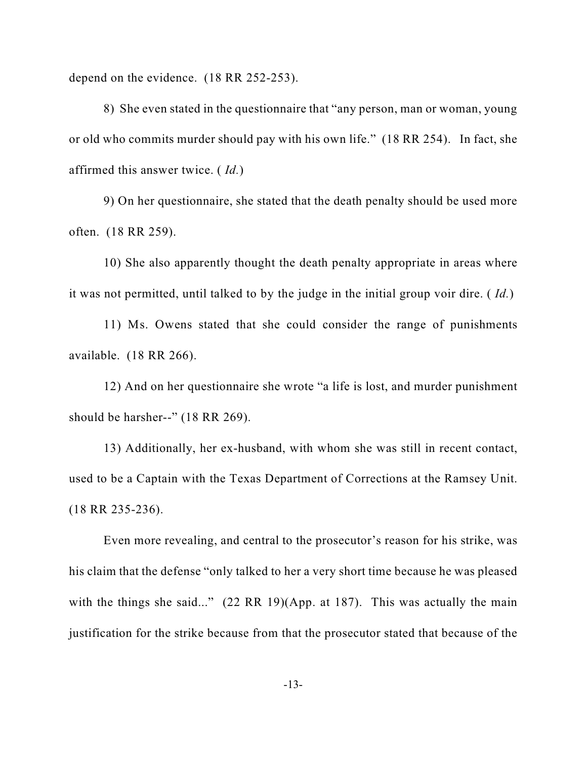depend on the evidence. (18 RR 252-253).

8) She even stated in the questionnaire that "any person, man or woman, young or old who commits murder should pay with his own life." (18 RR 254). In fact, she affirmed this answer twice. ( *Id.*)

9) On her questionnaire, she stated that the death penalty should be used more often. (18 RR 259).

10) She also apparently thought the death penalty appropriate in areas where it was not permitted, until talked to by the judge in the initial group voir dire. ( *Id.*)

11) Ms. Owens stated that she could consider the range of punishments available. (18 RR 266).

12) And on her questionnaire she wrote "a life is lost, and murder punishment should be harsher--" (18 RR 269).

13) Additionally, her ex-husband, with whom she was still in recent contact, used to be a Captain with the Texas Department of Corrections at the Ramsey Unit. (18 RR 235-236).

Even more revealing, and central to the prosecutor's reason for his strike, was his claim that the defense "only talked to her a very short time because he was pleased with the things she said..." (22 RR 19)(App. at 187). This was actually the main justification for the strike because from that the prosecutor stated that because of the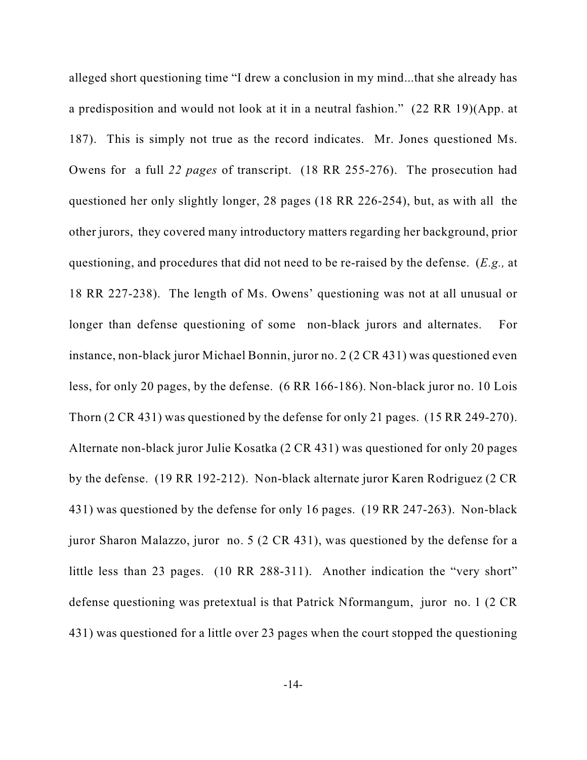alleged short questioning time "I drew a conclusion in my mind...that she already has a predisposition and would not look at it in a neutral fashion." (22 RR 19)(App. at 187). This is simply not true as the record indicates. Mr. Jones questioned Ms. Owens for a full *22 pages* of transcript. (18 RR 255-276). The prosecution had questioned her only slightly longer, 28 pages (18 RR 226-254), but, as with all the other jurors, they covered many introductory matters regarding her background, prior questioning, and procedures that did not need to be re-raised by the defense. (*E.g.,* at 18 RR 227-238). The length of Ms. Owens' questioning was not at all unusual or longer than defense questioning of some non-black jurors and alternates. For instance, non-black juror Michael Bonnin, juror no. 2 (2 CR 431) was questioned even less, for only 20 pages, by the defense. (6 RR 166-186). Non-black juror no. 10 Lois Thorn (2 CR 431) was questioned by the defense for only 21 pages. (15 RR 249-270). Alternate non-black juror Julie Kosatka (2 CR 431) was questioned for only 20 pages by the defense. (19 RR 192-212). Non-black alternate juror Karen Rodriguez (2 CR 431) was questioned by the defense for only 16 pages. (19 RR 247-263). Non-black juror Sharon Malazzo, juror no. 5 (2 CR 431), was questioned by the defense for a little less than 23 pages. (10 RR 288-311). Another indication the "very short" defense questioning was pretextual is that Patrick Nformangum, juror no. 1 (2 CR 431) was questioned for a little over 23 pages when the court stopped the questioning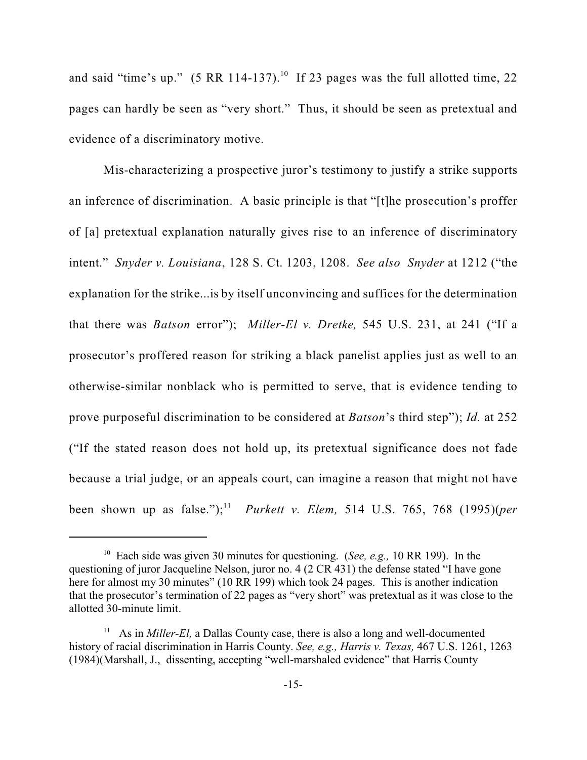and said "time's up." (5 RR 114-137).<sup>10</sup> If 23 pages was the full allotted time, 22 pages can hardly be seen as "very short." Thus, it should be seen as pretextual and evidence of a discriminatory motive.

Mis-characterizing a prospective juror's testimony to justify a strike supports an inference of discrimination. A basic principle is that "[t]he prosecution's proffer of [a] pretextual explanation naturally gives rise to an inference of discriminatory intent." *Snyder v. Louisiana*, 128 S. Ct. 1203, 1208. *See also Snyder* at 1212 ("the explanation for the strike...is by itself unconvincing and suffices for the determination that there was *Batson* error"); *Miller-El v. Dretke,* 545 U.S. 231, at 241 ("If a prosecutor's proffered reason for striking a black panelist applies just as well to an otherwise-similar nonblack who is permitted to serve, that is evidence tending to prove purposeful discrimination to be considered at *Batson*'s third step"); *Id.* at 252 ("If the stated reason does not hold up, its pretextual significance does not fade because a trial judge, or an appeals court, can imagine a reason that might not have been shown up as false."); *Purkett v. Elem,* 514 U.S. 765, 768 (1995)(*per* <sup>11</sup>

<sup>&</sup>lt;sup>10</sup> Each side was given 30 minutes for questioning. (*See, e.g.,* 10 RR 199). In the questioning of juror Jacqueline Nelson, juror no. 4 (2 CR 431) the defense stated "I have gone here for almost my 30 minutes" (10 RR 199) which took 24 pages. This is another indication that the prosecutor's termination of 22 pages as "very short" was pretextual as it was close to the allotted 30-minute limit.

<sup>&</sup>lt;sup>11</sup> As in *Miller-El*, a Dallas County case, there is also a long and well-documented history of racial discrimination in Harris County. *See, e.g., Harris v. Texas,* 467 U.S. 1261, 1263 (1984)(Marshall, J., dissenting, accepting "well-marshaled evidence" that Harris County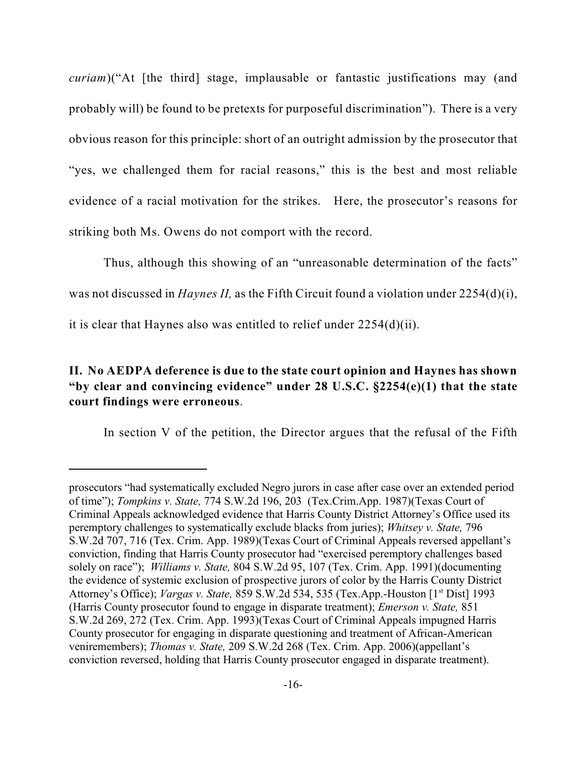*curiam*)("At [the third] stage, implausable or fantastic justifications may (and probably will) be found to be pretexts for purposeful discrimination"). There is a very obvious reason for this principle: short of an outright admission by the prosecutor that "yes, we challenged them for racial reasons," this is the best and most reliable evidence of a racial motivation for the strikes. Here, the prosecutor's reasons for striking both Ms. Owens do not comport with the record.

Thus, although this showing of an "unreasonable determination of the facts" was not discussed in *Haynes II,* as the Fifth Circuit found a violation under 2254(d)(i), it is clear that Haynes also was entitled to relief under 2254(d)(ii).

## **II. No AEDPA deference is due to the state court opinion and Haynes has shown "by clear and convincing evidence" under 28 U.S.C. §2254(e)(1) that the state court findings were erroneous**.

In section V of the petition, the Director argues that the refusal of the Fifth

prosecutors "had systematically excluded Negro jurors in case after case over an extended period of time"); *Tompkins v. State,* 774 S.W.2d 196, 203 (Tex.Crim.App. 1987)(Texas Court of Criminal Appeals acknowledged evidence that Harris County District Attorney's Office used its peremptory challenges to systematically exclude blacks from juries); *Whitsey v. State,* 796 S.W.2d 707, 716 (Tex. Crim. App. 1989)(Texas Court of Criminal Appeals reversed appellant's conviction, finding that Harris County prosecutor had "exercised peremptory challenges based solely on race"); *Williams v. State,* 804 S.W.2d 95, 107 (Tex. Crim. App. 1991)(documenting the evidence of systemic exclusion of prospective jurors of color by the Harris County District Attorney's Office); *Vargas v. State, 859 S.W.2d 534, 535 (Tex.App.-Houston [1<sup>st</sup> Dist] 1993* (Harris County prosecutor found to engage in disparate treatment); *Emerson v. State,* 851 S.W.2d 269, 272 (Tex. Crim. App. 1993)(Texas Court of Criminal Appeals impugned Harris County prosecutor for engaging in disparate questioning and treatment of African-American veniremembers); *Thomas v. State,* 209 S.W.2d 268 (Tex. Crim. App. 2006)(appellant's conviction reversed, holding that Harris County prosecutor engaged in disparate treatment).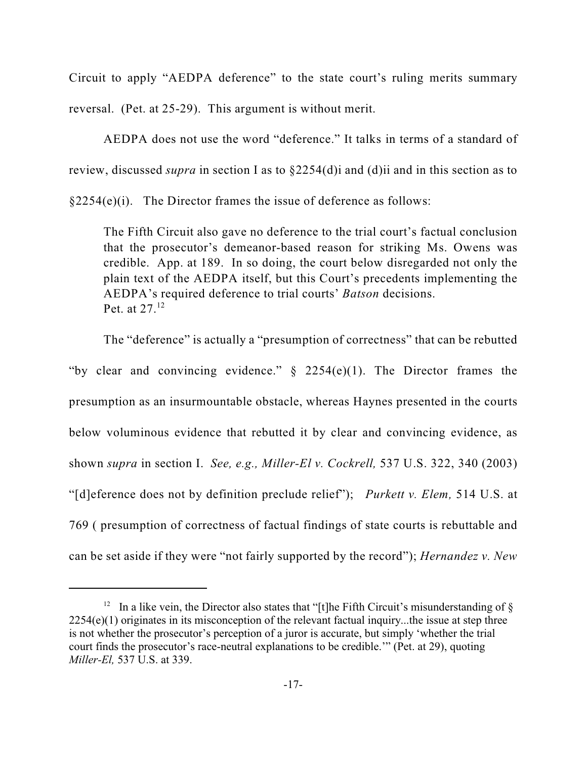Circuit to apply "AEDPA deference" to the state court's ruling merits summary reversal. (Pet. at 25-29). This argument is without merit.

AEDPA does not use the word "deference." It talks in terms of a standard of review, discussed *supra* in section I as to §2254(d)i and (d)ii and in this section as to

 $§2254(e)(i)$ . The Director frames the issue of deference as follows:

The Fifth Circuit also gave no deference to the trial court's factual conclusion that the prosecutor's demeanor-based reason for striking Ms. Owens was credible. App. at 189. In so doing, the court below disregarded not only the plain text of the AEDPA itself, but this Court's precedents implementing the AEDPA's required deference to trial courts' *Batson* decisions. Pet. at 27.<sup>12</sup>

The "deference" is actually a "presumption of correctness" that can be rebutted "by clear and convincing evidence."  $\S$  2254(e)(1). The Director frames the presumption as an insurmountable obstacle, whereas Haynes presented in the courts below voluminous evidence that rebutted it by clear and convincing evidence, as shown *supra* in section I. *See, e.g., Miller-El v. Cockrell,* 537 U.S. 322, 340 (2003) "[d]eference does not by definition preclude relief"); *Purkett v. Elem,* 514 U.S. at 769 ( presumption of correctness of factual findings of state courts is rebuttable and can be set aside if they were "not fairly supported by the record"); *Hernandez v. New*

<sup>&</sup>lt;sup>12</sup> In a like vein, the Director also states that "[t]he Fifth Circuit's misunderstanding of  $\S$ 2254(e)(1) originates in its misconception of the relevant factual inquiry...the issue at step three is not whether the prosecutor's perception of a juror is accurate, but simply 'whether the trial court finds the prosecutor's race-neutral explanations to be credible.'" (Pet. at 29), quoting *Miller-El,* 537 U.S. at 339.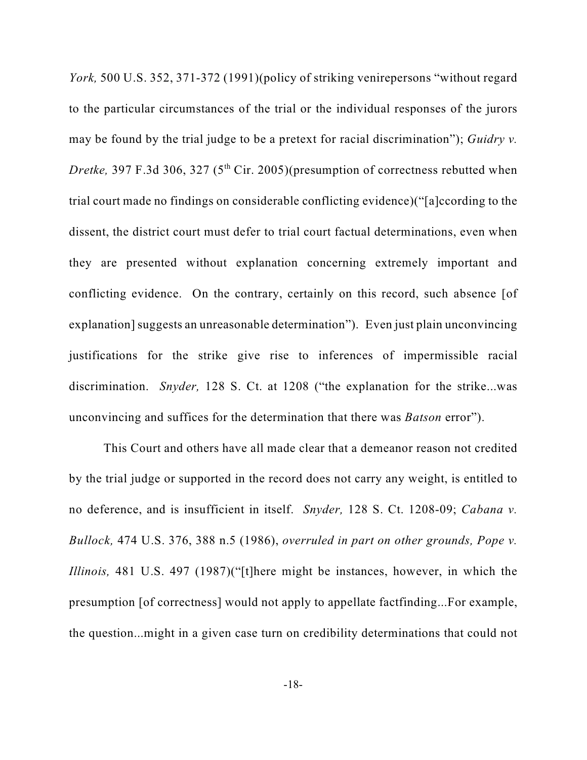*York,* 500 U.S. 352, 371-372 (1991)(policy of striking venirepersons "without regard to the particular circumstances of the trial or the individual responses of the jurors may be found by the trial judge to be a pretext for racial discrimination"); *Guidry v. Dretke*, 397 F.3d 306, 327 ( $5<sup>th</sup>$  Cir. 2005)(presumption of correctness rebutted when trial court made no findings on considerable conflicting evidence)("[a]ccording to the dissent, the district court must defer to trial court factual determinations, even when they are presented without explanation concerning extremely important and conflicting evidence. On the contrary, certainly on this record, such absence [of explanation] suggests an unreasonable determination"). Even just plain unconvincing justifications for the strike give rise to inferences of impermissible racial discrimination. *Snyder,* 128 S. Ct. at 1208 ("the explanation for the strike...was unconvincing and suffices for the determination that there was *Batson* error").

This Court and others have all made clear that a demeanor reason not credited by the trial judge or supported in the record does not carry any weight, is entitled to no deference, and is insufficient in itself. *Snyder,* 128 S. Ct. 1208-09; *Cabana v. Bullock,* 474 U.S. 376, 388 n.5 (1986), *overruled in part on other grounds, Pope v. Illinois,* 481 U.S. 497 (1987)("[t]here might be instances, however, in which the presumption [of correctness] would not apply to appellate factfinding...For example, the question...might in a given case turn on credibility determinations that could not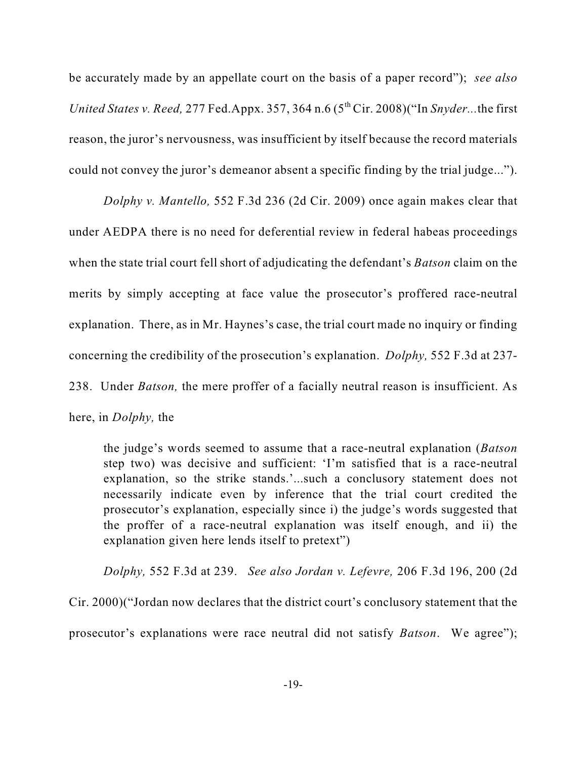be accurately made by an appellate court on the basis of a paper record"); *see also United States v. Reed, 277 Fed.Appx.* 357, 364 n.6  $(5<sup>th</sup> Cir. 2008)$  ("In *Snyder...the first* reason, the juror's nervousness, was insufficient by itself because the record materials could not convey the juror's demeanor absent a specific finding by the trial judge...").

*Dolphy v. Mantello,* 552 F.3d 236 (2d Cir. 2009) once again makes clear that under AEDPA there is no need for deferential review in federal habeas proceedings when the state trial court fell short of adjudicating the defendant's *Batson* claim on the merits by simply accepting at face value the prosecutor's proffered race-neutral explanation. There, as in Mr. Haynes's case, the trial court made no inquiry or finding concerning the credibility of the prosecution's explanation. *Dolphy,* 552 F.3d at 237- 238. Under *Batson,* the mere proffer of a facially neutral reason is insufficient. As

here, in *Dolphy,* the

the judge's words seemed to assume that a race-neutral explanation (*Batson* step two) was decisive and sufficient: 'I'm satisfied that is a race-neutral explanation, so the strike stands.'...such a conclusory statement does not necessarily indicate even by inference that the trial court credited the prosecutor's explanation, especially since i) the judge's words suggested that the proffer of a race-neutral explanation was itself enough, and ii) the explanation given here lends itself to pretext")

*Dolphy,* 552 F.3d at 239. *See also Jordan v. Lefevre,* 206 F.3d 196, 200 (2d Cir. 2000)("Jordan now declares that the district court's conclusory statement that the prosecutor's explanations were race neutral did not satisfy *Batson*. We agree");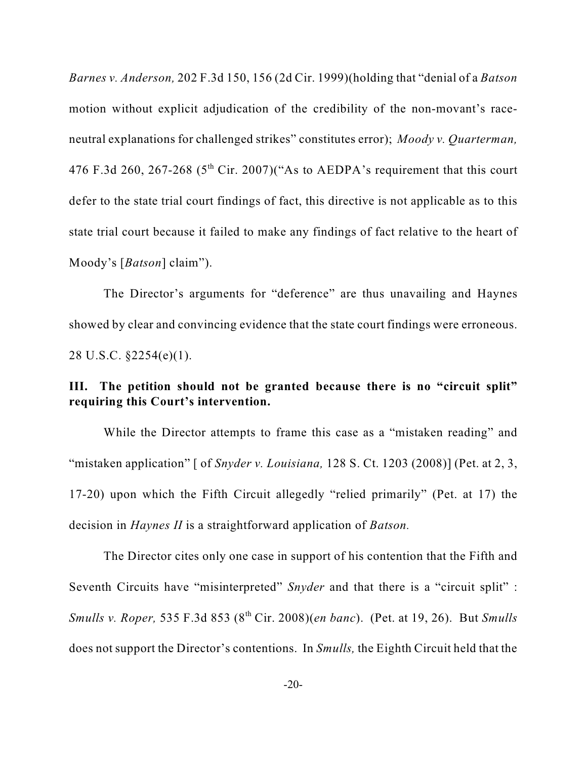*Barnes v. Anderson,* 202 F.3d 150, 156 (2d Cir. 1999)(holding that "denial of a *Batson* motion without explicit adjudication of the credibility of the non-movant's raceneutral explanations for challenged strikes" constitutes error); *Moody v. Quarterman,* 476 F.3d 260, 267-268  $(5<sup>th</sup> Cir. 2007)("As to AEDPA's requirement that this court$ defer to the state trial court findings of fact, this directive is not applicable as to this state trial court because it failed to make any findings of fact relative to the heart of Moody's [*Batson*] claim").

The Director's arguments for "deference" are thus unavailing and Haynes showed by clear and convincing evidence that the state court findings were erroneous. 28 U.S.C. §2254(e)(1).

## **III. The petition should not be granted because there is no "circuit split" requiring this Court's intervention.**

While the Director attempts to frame this case as a "mistaken reading" and "mistaken application" [ of *Snyder v. Louisiana,* 128 S. Ct. 1203 (2008)] (Pet. at 2, 3, 17-20) upon which the Fifth Circuit allegedly "relied primarily" (Pet. at 17) the decision in *Haynes II* is a straightforward application of *Batson.* 

The Director cites only one case in support of his contention that the Fifth and Seventh Circuits have "misinterpreted" *Snyder* and that there is a "circuit split" : *Smulls v. Roper,* 535 F.3d 853 (8<sup>th</sup> Cir. 2008)(*en banc*). (Pet. at 19, 26). But *Smulls* does not support the Director's contentions. In *Smulls,* the Eighth Circuit held that the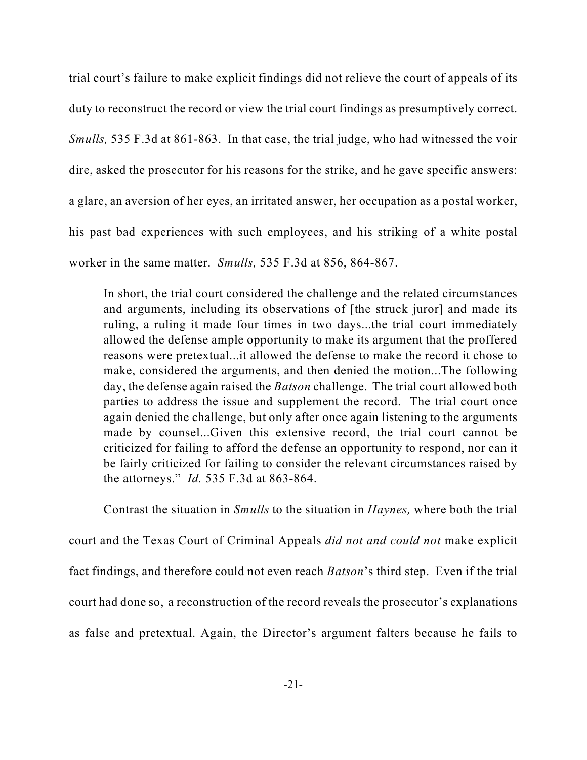trial court's failure to make explicit findings did not relieve the court of appeals of its duty to reconstruct the record or view the trial court findings as presumptively correct. *Smulls,* 535 F.3d at 861-863. In that case, the trial judge, who had witnessed the voir dire, asked the prosecutor for his reasons for the strike, and he gave specific answers: a glare, an aversion of her eyes, an irritated answer, her occupation as a postal worker, his past bad experiences with such employees, and his striking of a white postal worker in the same matter. *Smulls,* 535 F.3d at 856, 864-867.

In short, the trial court considered the challenge and the related circumstances and arguments, including its observations of [the struck juror] and made its ruling, a ruling it made four times in two days...the trial court immediately allowed the defense ample opportunity to make its argument that the proffered reasons were pretextual...it allowed the defense to make the record it chose to make, considered the arguments, and then denied the motion...The following day, the defense again raised the *Batson* challenge. The trial court allowed both parties to address the issue and supplement the record. The trial court once again denied the challenge, but only after once again listening to the arguments made by counsel...Given this extensive record, the trial court cannot be criticized for failing to afford the defense an opportunity to respond, nor can it be fairly criticized for failing to consider the relevant circumstances raised by the attorneys." *Id.* 535 F.3d at 863-864.

Contrast the situation in *Smulls* to the situation in *Haynes,* where both the trial court and the Texas Court of Criminal Appeals *did not and could not* make explicit fact findings, and therefore could not even reach *Batson*'s third step. Even if the trial court had done so, a reconstruction of the record reveals the prosecutor's explanations as false and pretextual. Again, the Director's argument falters because he fails to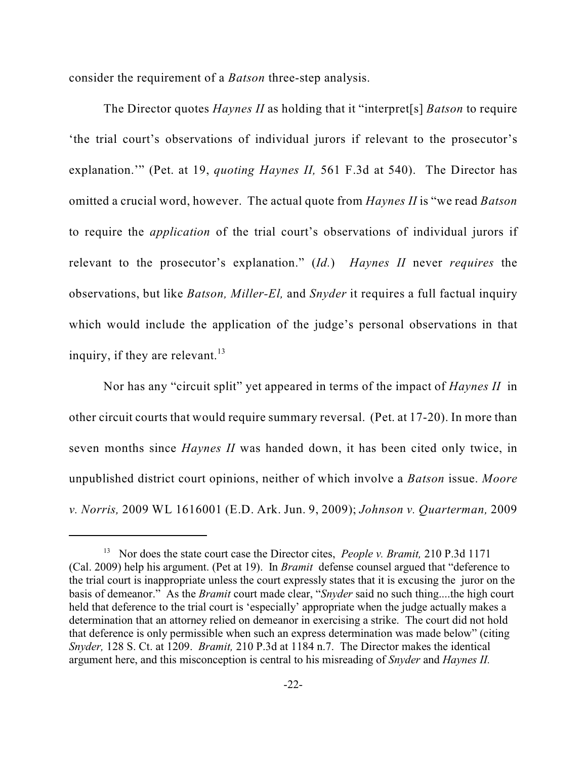consider the requirement of a *Batson* three-step analysis.

The Director quotes *Haynes II* as holding that it "interpret[s] *Batson* to require 'the trial court's observations of individual jurors if relevant to the prosecutor's explanation.'" (Pet. at 19, *quoting Haynes II,* 561 F.3d at 540). The Director has omitted a crucial word, however. The actual quote from *Haynes II* is "we read *Batson* to require the *application* of the trial court's observations of individual jurors if relevant to the prosecutor's explanation." (*Id.*) *Haynes II* never *requires* the observations, but like *Batson, Miller-El,* and *Snyder* it requires a full factual inquiry which would include the application of the judge's personal observations in that inquiry, if they are relevant.<sup>13</sup>

Nor has any "circuit split" yet appeared in terms of the impact of *Haynes II* in other circuit courts that would require summary reversal. (Pet. at 17-20). In more than seven months since *Haynes II* was handed down, it has been cited only twice, in unpublished district court opinions, neither of which involve a *Batson* issue. *Moore v. Norris,* 2009 WL 1616001 (E.D. Ark. Jun. 9, 2009); *Johnson v. Quarterman,* 2009

<sup>&</sup>lt;sup>13</sup> Nor does the state court case the Director cites, *People v. Bramit*, 210 P.3d 1171 (Cal. 2009) help his argument. (Pet at 19). In *Bramit* defense counsel argued that "deference to the trial court is inappropriate unless the court expressly states that it is excusing the juror on the basis of demeanor." As the *Bramit* court made clear, "*Snyder* said no such thing....the high court held that deference to the trial court is 'especially' appropriate when the judge actually makes a determination that an attorney relied on demeanor in exercising a strike. The court did not hold that deference is only permissible when such an express determination was made below" (citing *Snyder,* 128 S. Ct. at 1209. *Bramit,* 210 P.3d at 1184 n.7. The Director makes the identical argument here, and this misconception is central to his misreading of *Snyder* and *Haynes II.*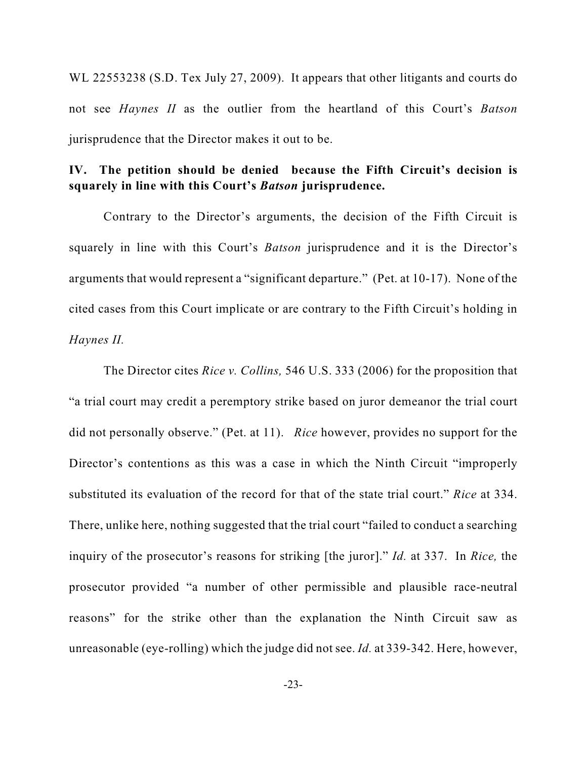WL 22553238 (S.D. Tex July 27, 2009). It appears that other litigants and courts do not see *Haynes II* as the outlier from the heartland of this Court's *Batson* jurisprudence that the Director makes it out to be.

## **IV. The petition should be denied because the Fifth Circuit's decision is squarely in line with this Court's** *Batson* **jurisprudence.**

Contrary to the Director's arguments, the decision of the Fifth Circuit is squarely in line with this Court's *Batson* jurisprudence and it is the Director's arguments that would represent a "significant departure." (Pet. at 10-17). None of the cited cases from this Court implicate or are contrary to the Fifth Circuit's holding in *Haynes II.* 

The Director cites *Rice v. Collins,* 546 U.S. 333 (2006) for the proposition that "a trial court may credit a peremptory strike based on juror demeanor the trial court did not personally observe." (Pet. at 11). *Rice* however, provides no support for the Director's contentions as this was a case in which the Ninth Circuit "improperly substituted its evaluation of the record for that of the state trial court." *Rice* at 334. There, unlike here, nothing suggested that the trial court "failed to conduct a searching inquiry of the prosecutor's reasons for striking [the juror]." *Id.* at 337. In *Rice,* the prosecutor provided "a number of other permissible and plausible race-neutral reasons" for the strike other than the explanation the Ninth Circuit saw as unreasonable (eye-rolling) which the judge did not see. *Id.* at 339-342. Here, however,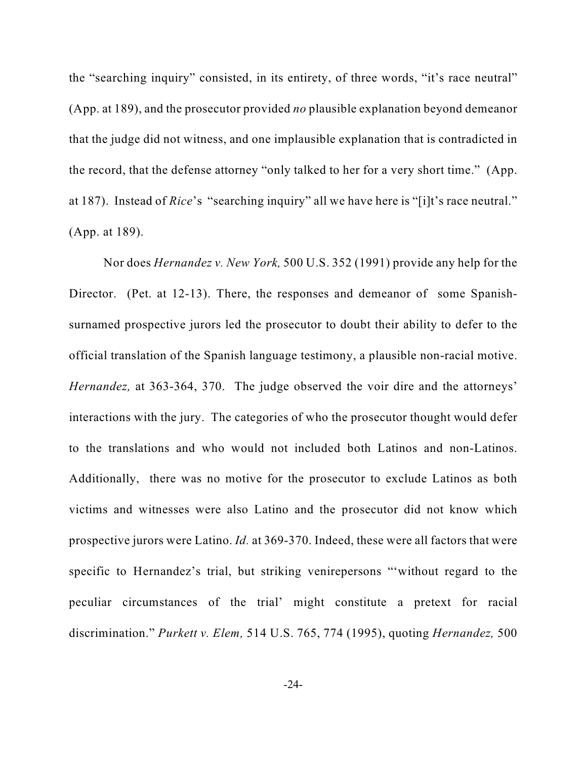the "searching inquiry" consisted, in its entirety, of three words, "it's race neutral" (App. at 189), and the prosecutor provided *no* plausible explanation beyond demeanor that the judge did not witness, and one implausible explanation that is contradicted in the record, that the defense attorney "only talked to her for a very short time." (App. at 187). Instead of *Rice*'s "searching inquiry" all we have here is "[i]t's race neutral." (App. at 189).

Nor does *Hernandez v. New York,* 500 U.S. 352 (1991) provide any help for the Director. (Pet. at 12-13). There, the responses and demeanor of some Spanishsurnamed prospective jurors led the prosecutor to doubt their ability to defer to the official translation of the Spanish language testimony, a plausible non-racial motive. *Hernandez*, at 363-364, 370. The judge observed the voir dire and the attorneys' interactions with the jury. The categories of who the prosecutor thought would defer to the translations and who would not included both Latinos and non-Latinos. Additionally, there was no motive for the prosecutor to exclude Latinos as both victims and witnesses were also Latino and the prosecutor did not know which prospective jurors were Latino. *Id.* at 369-370. Indeed, these were all factors that were specific to Hernandez's trial, but striking venirepersons "'without regard to the peculiar circumstances of the trial' might constitute a pretext for racial discrimination." *Purkett v. Elem,* 514 U.S. 765, 774 (1995), quoting *Hernandez,* 500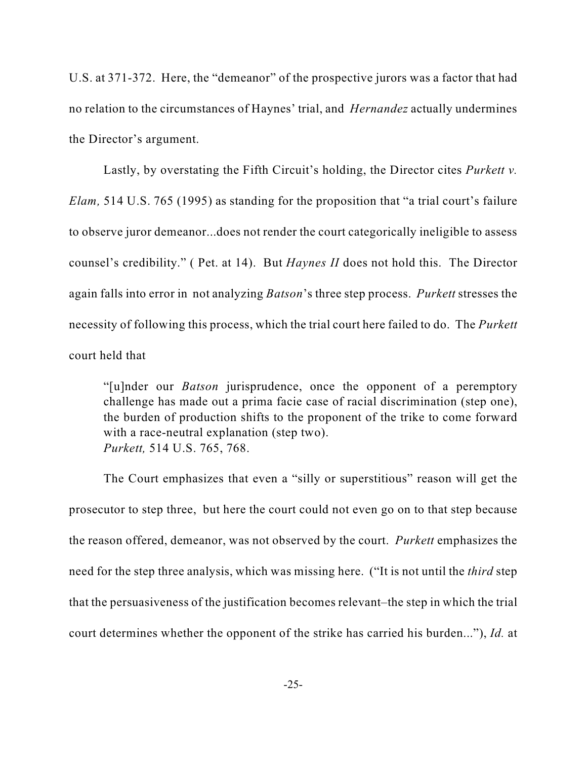U.S. at 371-372. Here, the "demeanor" of the prospective jurors was a factor that had no relation to the circumstances of Haynes' trial, and *Hernandez* actually undermines the Director's argument.

Lastly, by overstating the Fifth Circuit's holding, the Director cites *Purkett v. Elam,* 514 U.S. 765 (1995) as standing for the proposition that "a trial court's failure to observe juror demeanor...does not render the court categorically ineligible to assess counsel's credibility." ( Pet. at 14). But *Haynes II* does not hold this. The Director again falls into error in not analyzing *Batson*'s three step process. *Purkett* stresses the necessity of following this process, which the trial court here failed to do. The *Purkett* court held that

"[u]nder our *Batson* jurisprudence, once the opponent of a peremptory challenge has made out a prima facie case of racial discrimination (step one), the burden of production shifts to the proponent of the trike to come forward with a race-neutral explanation (step two). *Purkett,* 514 U.S. 765, 768.

The Court emphasizes that even a "silly or superstitious" reason will get the prosecutor to step three, but here the court could not even go on to that step because the reason offered, demeanor, was not observed by the court. *Purkett* emphasizes the need for the step three analysis, which was missing here. ("It is not until the *third* step that the persuasiveness of the justification becomes relevant–the step in which the trial court determines whether the opponent of the strike has carried his burden..."), *Id.* at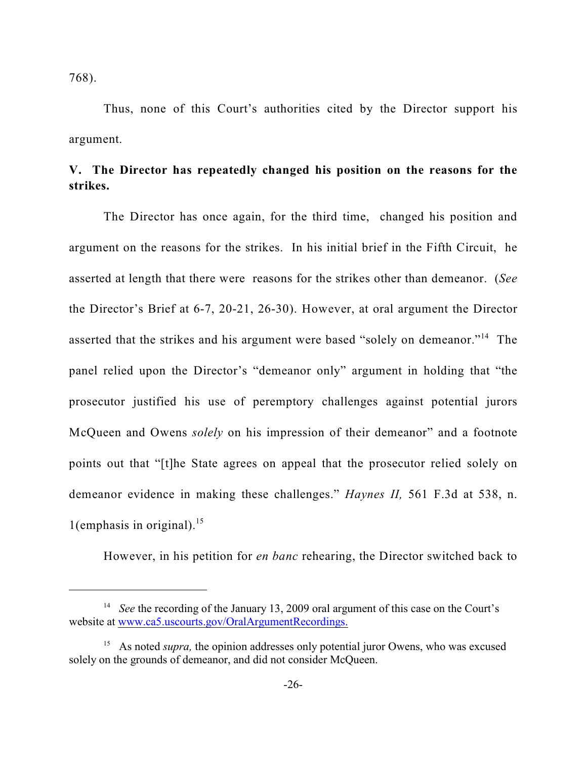768).

Thus, none of this Court's authorities cited by the Director support his argument.

## **V. The Director has repeatedly changed his position on the reasons for the strikes.**

The Director has once again, for the third time, changed his position and argument on the reasons for the strikes. In his initial brief in the Fifth Circuit, he asserted at length that there were reasons for the strikes other than demeanor. (*See* the Director's Brief at 6-7, 20-21, 26-30). However, at oral argument the Director asserted that the strikes and his argument were based "solely on demeanor."<sup>14</sup> The panel relied upon the Director's "demeanor only" argument in holding that "the prosecutor justified his use of peremptory challenges against potential jurors McQueen and Owens *solely* on his impression of their demeanor" and a footnote points out that "[t]he State agrees on appeal that the prosecutor relied solely on demeanor evidence in making these challenges." *Haynes II,* 561 F.3d at 538, n. 1(emphasis in original).<sup>15</sup>

However, in his petition for *en banc* rehearing, the Director switched back to

<sup>&</sup>lt;sup>14</sup> See the recording of the January 13, 2009 oral argument of this case on the Court's website at [www.ca5.uscourts.gov/OralArgumentRecordings.](http://www.ca5.uscourts.gov/OralArgumentRecordings.)

<sup>&</sup>lt;sup>15</sup> As noted *supra*, the opinion addresses only potential juror Owens, who was excused solely on the grounds of demeanor, and did not consider McQueen.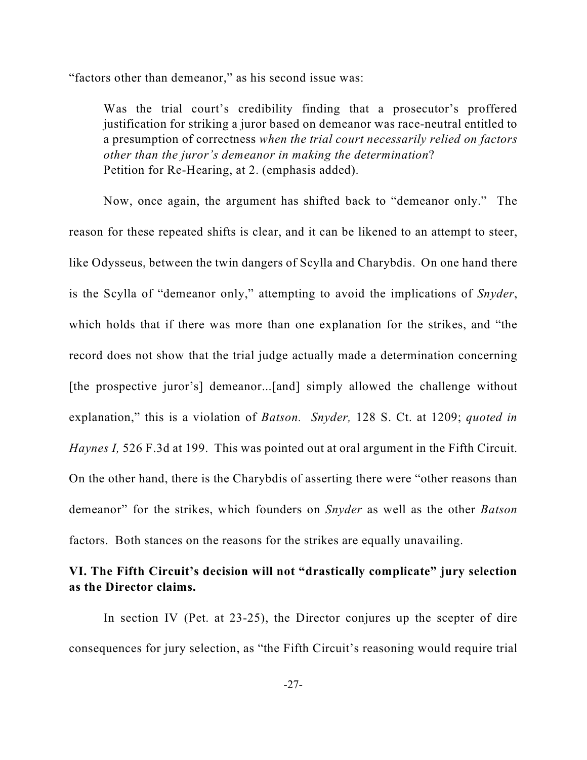"factors other than demeanor," as his second issue was:

Was the trial court's credibility finding that a prosecutor's proffered justification for striking a juror based on demeanor was race-neutral entitled to a presumption of correctness *when the trial court necessarily relied on factors other than the juror's demeanor in making the determination*? Petition for Re-Hearing, at 2. (emphasis added).

Now, once again, the argument has shifted back to "demeanor only." The reason for these repeated shifts is clear, and it can be likened to an attempt to steer, like Odysseus, between the twin dangers of Scylla and Charybdis. On one hand there is the Scylla of "demeanor only," attempting to avoid the implications of *Snyder*, which holds that if there was more than one explanation for the strikes, and "the record does not show that the trial judge actually made a determination concerning [the prospective juror's] demeanor...[and] simply allowed the challenge without explanation," this is a violation of *Batson. Snyder,* 128 S. Ct. at 1209; *quoted in Haynes I,* 526 F.3d at 199. This was pointed out at oral argument in the Fifth Circuit. On the other hand, there is the Charybdis of asserting there were "other reasons than demeanor" for the strikes, which founders on *Snyder* as well as the other *Batson* factors. Both stances on the reasons for the strikes are equally unavailing.

## **VI. The Fifth Circuit's decision will not "drastically complicate" jury selection as the Director claims.**

In section IV (Pet. at 23-25), the Director conjures up the scepter of dire consequences for jury selection, as "the Fifth Circuit's reasoning would require trial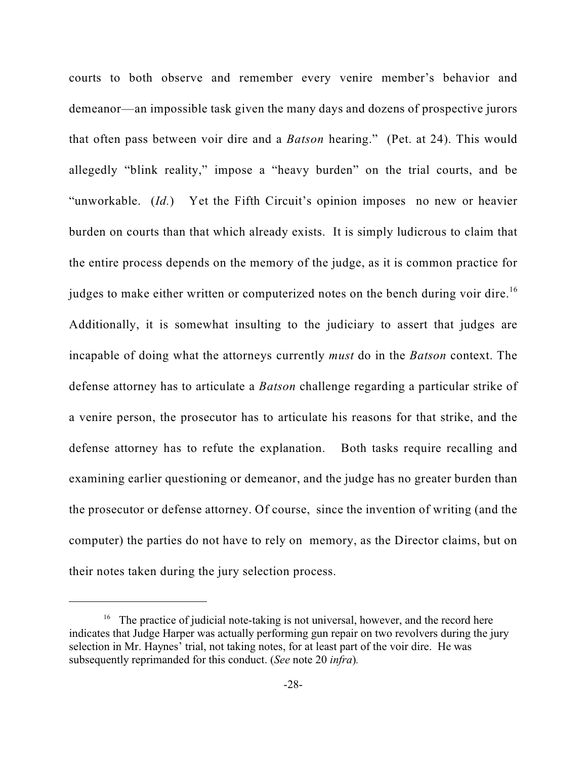courts to both observe and remember every venire member's behavior and demeanor—an impossible task given the many days and dozens of prospective jurors that often pass between voir dire and a *Batson* hearing." (Pet. at 24). This would allegedly "blink reality," impose a "heavy burden" on the trial courts, and be "unworkable. (*Id.*) Yet the Fifth Circuit's opinion imposes no new or heavier burden on courts than that which already exists. It is simply ludicrous to claim that the entire process depends on the memory of the judge, as it is common practice for judges to make either written or computerized notes on the bench during voir dire.<sup>16</sup> Additionally, it is somewhat insulting to the judiciary to assert that judges are incapable of doing what the attorneys currently *must* do in the *Batson* context. The defense attorney has to articulate a *Batson* challenge regarding a particular strike of a venire person, the prosecutor has to articulate his reasons for that strike, and the defense attorney has to refute the explanation. Both tasks require recalling and examining earlier questioning or demeanor, and the judge has no greater burden than the prosecutor or defense attorney. Of course, since the invention of writing (and the computer) the parties do not have to rely on memory, as the Director claims, but on their notes taken during the jury selection process.

 $16$  The practice of judicial note-taking is not universal, however, and the record here indicates that Judge Harper was actually performing gun repair on two revolvers during the jury selection in Mr. Haynes' trial, not taking notes, for at least part of the voir dire. He was subsequently reprimanded for this conduct. (*See* note 20 *infra*)*.*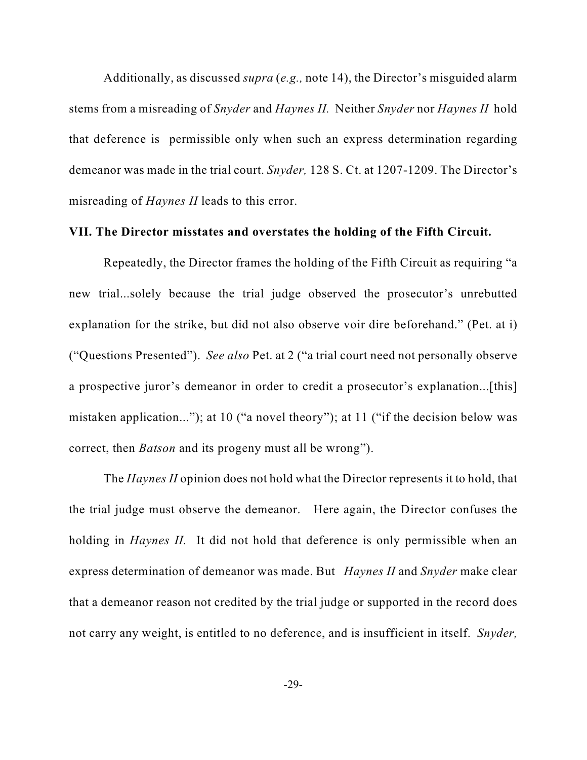Additionally, as discussed *supra* (*e.g.,* note 14), the Director's misguided alarm stems from a misreading of *Snyder* and *Haynes II.* Neither *Snyder* nor *Haynes II* hold that deference is permissible only when such an express determination regarding demeanor was made in the trial court. *Snyder,* 128 S. Ct. at 1207-1209. The Director's misreading of *Haynes II* leads to this error.

### **VII. The Director misstates and overstates the holding of the Fifth Circuit.**

Repeatedly, the Director frames the holding of the Fifth Circuit as requiring "a new trial...solely because the trial judge observed the prosecutor's unrebutted explanation for the strike, but did not also observe voir dire beforehand." (Pet. at i) ("Questions Presented"). *See also* Pet. at 2 ("a trial court need not personally observe a prospective juror's demeanor in order to credit a prosecutor's explanation...[this] mistaken application..."); at 10 ("a novel theory"); at 11 ("if the decision below was correct, then *Batson* and its progeny must all be wrong").

The *Haynes II* opinion does not hold what the Director represents it to hold, that the trial judge must observe the demeanor. Here again, the Director confuses the holding in *Haynes II.* It did not hold that deference is only permissible when an express determination of demeanor was made. But *Haynes II* and *Snyder* make clear that a demeanor reason not credited by the trial judge or supported in the record does not carry any weight, is entitled to no deference, and is insufficient in itself. *Snyder,*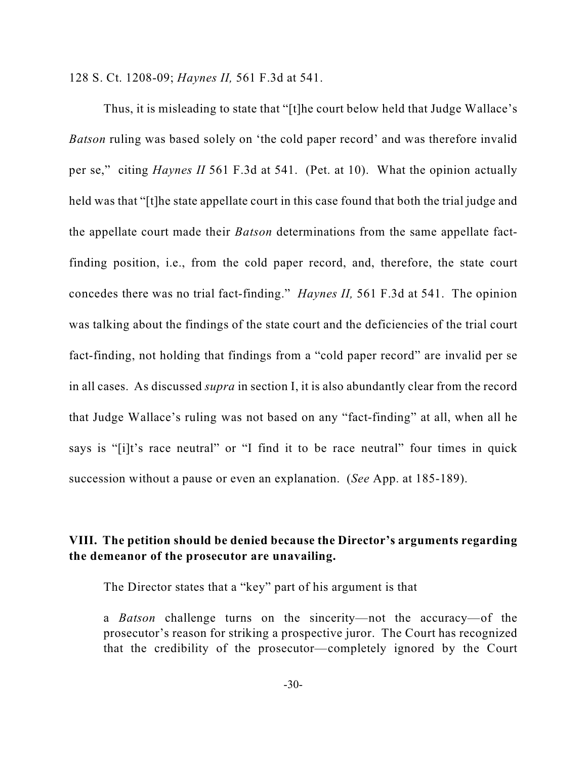128 S. Ct. 1208-09; *Haynes II,* 561 F.3d at 541.

Thus, it is misleading to state that "[t]he court below held that Judge Wallace's *Batson* ruling was based solely on 'the cold paper record' and was therefore invalid per se," citing *Haynes II* 561 F.3d at 541. (Pet. at 10). What the opinion actually held was that "[t]he state appellate court in this case found that both the trial judge and the appellate court made their *Batson* determinations from the same appellate factfinding position, i.e., from the cold paper record, and, therefore, the state court concedes there was no trial fact-finding." *Haynes II,* 561 F.3d at 541. The opinion was talking about the findings of the state court and the deficiencies of the trial court fact-finding, not holding that findings from a "cold paper record" are invalid per se in all cases. As discussed *supra* in section I, it is also abundantly clear from the record that Judge Wallace's ruling was not based on any "fact-finding" at all, when all he says is "[i]t's race neutral" or "I find it to be race neutral" four times in quick succession without a pause or even an explanation. (*See* App. at 185-189).

## **VIII. The petition should be denied because the Director's arguments regarding the demeanor of the prosecutor are unavailing.**

The Director states that a "key" part of his argument is that

a *Batson* challenge turns on the sincerity—not the accuracy—of the prosecutor's reason for striking a prospective juror. The Court has recognized that the credibility of the prosecutor—completely ignored by the Court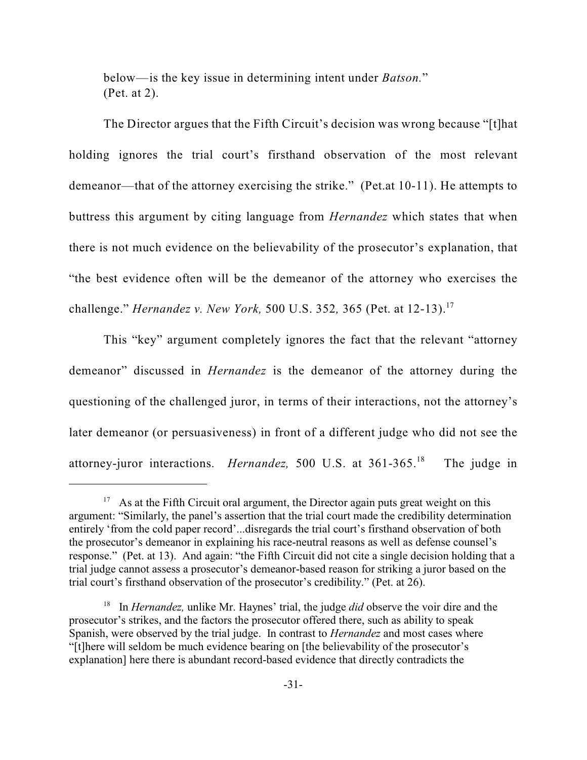below—is the key issue in determining intent under *Batson.*" (Pet. at 2).

The Director argues that the Fifth Circuit's decision was wrong because "[t]hat holding ignores the trial court's firsthand observation of the most relevant demeanor—that of the attorney exercising the strike." (Pet.at 10-11). He attempts to buttress this argument by citing language from *Hernandez* which states that when there is not much evidence on the believability of the prosecutor's explanation, that "the best evidence often will be the demeanor of the attorney who exercises the challenge." *Hernandez v. New York,* 500 U.S. 352*,* 365 (Pet. at 12-13).<sup>17</sup>

This "key" argument completely ignores the fact that the relevant "attorney demeanor" discussed in *Hernandez* is the demeanor of the attorney during the questioning of the challenged juror, in terms of their interactions, not the attorney's later demeanor (or persuasiveness) in front of a different judge who did not see the attorney-juror interactions. *Hernandez*, 500 U.S. at 361-365.<sup>18</sup> The judge in

 $17$  As at the Fifth Circuit oral argument, the Director again puts great weight on this argument: "Similarly, the panel's assertion that the trial court made the credibility determination entirely 'from the cold paper record'...disregards the trial court's firsthand observation of both the prosecutor's demeanor in explaining his race-neutral reasons as well as defense counsel's response." (Pet. at 13). And again: "the Fifth Circuit did not cite a single decision holding that a trial judge cannot assess a prosecutor's demeanor-based reason for striking a juror based on the trial court's firsthand observation of the prosecutor's credibility." (Pet. at 26).

<sup>&</sup>lt;sup>18</sup> In *Hernandez*, unlike Mr. Haynes' trial, the judge *did* observe the voir dire and the prosecutor's strikes, and the factors the prosecutor offered there, such as ability to speak Spanish, were observed by the trial judge. In contrast to *Hernandez* and most cases where "[t]here will seldom be much evidence bearing on [the believability of the prosecutor's explanation] here there is abundant record-based evidence that directly contradicts the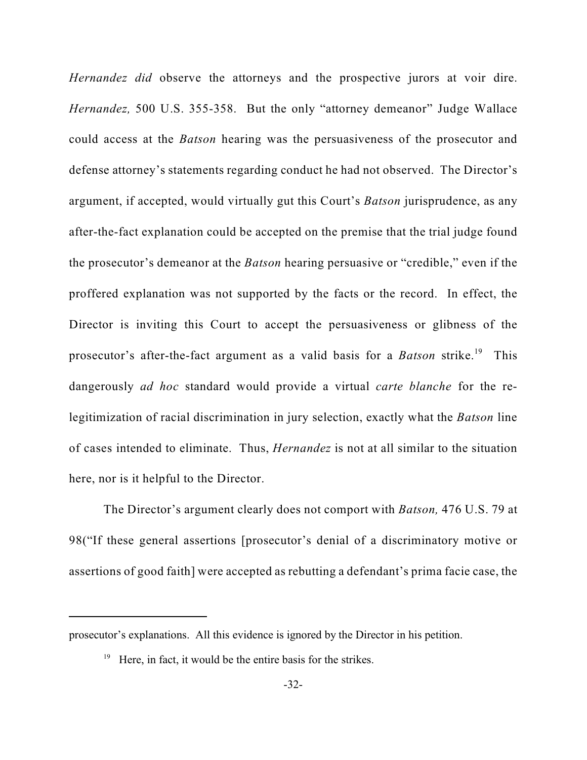*Hernandez did* observe the attorneys and the prospective jurors at voir dire. *Hernandez,* 500 U.S. 355-358. But the only "attorney demeanor" Judge Wallace could access at the *Batson* hearing was the persuasiveness of the prosecutor and defense attorney's statements regarding conduct he had not observed. The Director's argument, if accepted, would virtually gut this Court's *Batson* jurisprudence, as any after-the-fact explanation could be accepted on the premise that the trial judge found the prosecutor's demeanor at the *Batson* hearing persuasive or "credible," even if the proffered explanation was not supported by the facts or the record. In effect, the Director is inviting this Court to accept the persuasiveness or glibness of the prosecutor's after-the-fact argument as a valid basis for a *Batson* strike.<sup>19</sup> This dangerously *ad hoc* standard would provide a virtual *carte blanche* for the relegitimization of racial discrimination in jury selection, exactly what the *Batson* line of cases intended to eliminate. Thus, *Hernandez* is not at all similar to the situation here, nor is it helpful to the Director.

The Director's argument clearly does not comport with *Batson,* 476 U.S. 79 at 98("If these general assertions [prosecutor's denial of a discriminatory motive or assertions of good faith] were accepted as rebutting a defendant's prima facie case, the

prosecutor's explanations. All this evidence is ignored by the Director in his petition.

 $^{19}$  Here, in fact, it would be the entire basis for the strikes.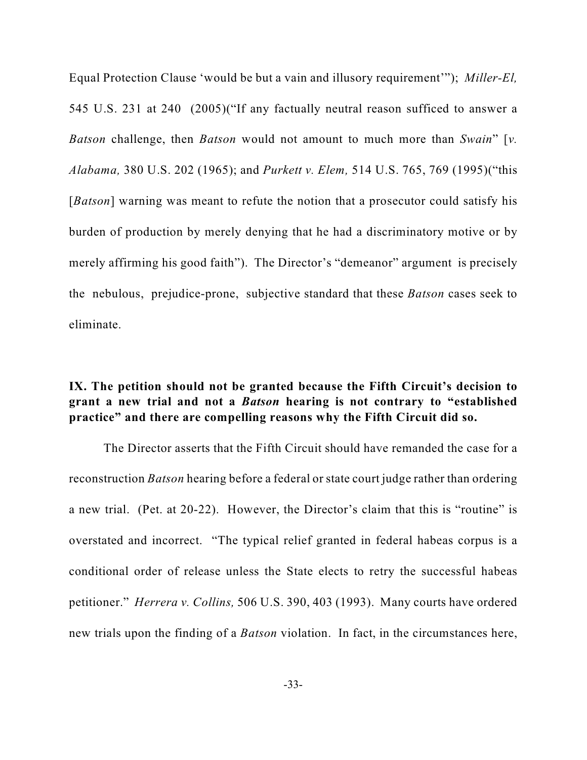Equal Protection Clause 'would be but a vain and illusory requirement'"); *Miller-El,* 545 U.S. 231 at 240 (2005)("If any factually neutral reason sufficed to answer a *Batson* challenge, then *Batson* would not amount to much more than *Swain*" [*v. Alabama,* 380 U.S. 202 (1965); and *Purkett v. Elem,* 514 U.S. 765, 769 (1995)("this [*Batson*] warning was meant to refute the notion that a prosecutor could satisfy his burden of production by merely denying that he had a discriminatory motive or by merely affirming his good faith"). The Director's "demeanor" argument is precisely the nebulous, prejudice-prone, subjective standard that these *Batson* cases seek to eliminate.

## **IX. The petition should not be granted because the Fifth Circuit's decision to grant a new trial and not a** *Batson* **hearing is not contrary to "established practice" and there are compelling reasons why the Fifth Circuit did so.**

The Director asserts that the Fifth Circuit should have remanded the case for a reconstruction *Batson* hearing before a federal or state court judge rather than ordering a new trial. (Pet. at 20-22). However, the Director's claim that this is "routine" is overstated and incorrect. "The typical relief granted in federal habeas corpus is a conditional order of release unless the State elects to retry the successful habeas petitioner." *Herrera v. Collins,* 506 U.S. 390, 403 (1993). Many courts have ordered new trials upon the finding of a *Batson* violation. In fact, in the circumstances here,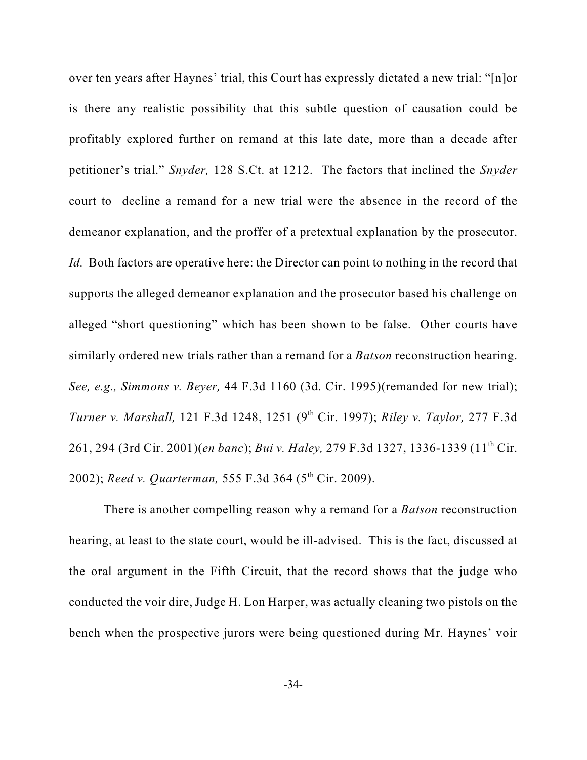over ten years after Haynes' trial, this Court has expressly dictated a new trial: "[n]or is there any realistic possibility that this subtle question of causation could be profitably explored further on remand at this late date, more than a decade after petitioner's trial." *Snyder,* 128 S.Ct. at 1212. The factors that inclined the *Snyder* court to decline a remand for a new trial were the absence in the record of the demeanor explanation, and the proffer of a pretextual explanation by the prosecutor. *Id.* Both factors are operative here: the Director can point to nothing in the record that supports the alleged demeanor explanation and the prosecutor based his challenge on alleged "short questioning" which has been shown to be false. Other courts have similarly ordered new trials rather than a remand for a *Batson* reconstruction hearing. *See, e.g., Simmons v. Beyer,* 44 F.3d 1160 (3d. Cir. 1995)(remanded for new trial); *Turner v. Marshall,* 121 F.3d 1248, 1251 (9<sup>th</sup> Cir. 1997); *Riley v. Taylor*, 277 F.3d 261, 294 (3rd Cir. 2001)(*en banc*); *Bui v. Haley,* 279 F.3d 1327, 1336-1339 (11<sup>th</sup> Cir. 2002); *Reed v. Quarterman*, 555 F.3d 364 (5<sup>th</sup> Cir. 2009).

There is another compelling reason why a remand for a *Batson* reconstruction hearing, at least to the state court, would be ill-advised. This is the fact, discussed at the oral argument in the Fifth Circuit, that the record shows that the judge who conducted the voir dire, Judge H. Lon Harper, was actually cleaning two pistols on the bench when the prospective jurors were being questioned during Mr. Haynes' voir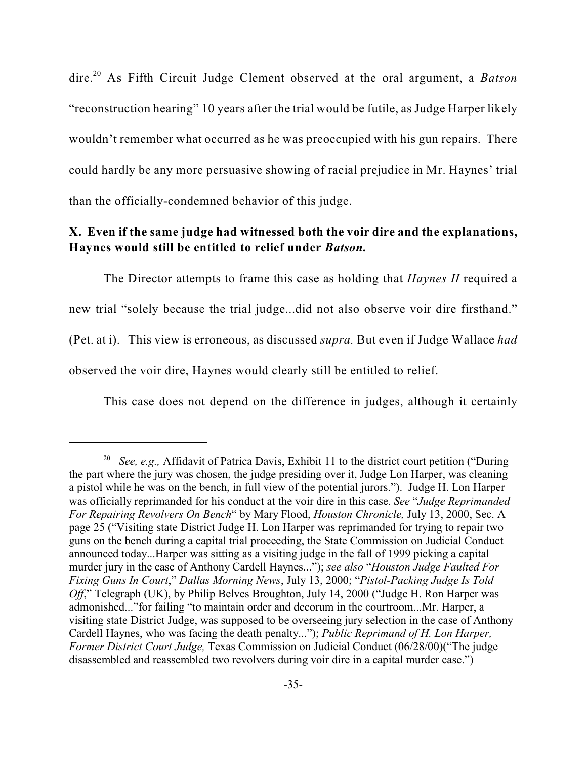dire.<sup>20</sup> As Fifth Circuit Judge Clement observed at the oral argument, a *Batson* "reconstruction hearing" 10 years after the trial would be futile, as Judge Harper likely wouldn't remember what occurred as he was preoccupied with his gun repairs. There could hardly be any more persuasive showing of racial prejudice in Mr. Haynes' trial than the officially-condemned behavior of this judge.

### **X. Even if the same judge had witnessed both the voir dire and the explanations, Haynes would still be entitled to relief under** *Batson.*

The Director attempts to frame this case as holding that *Haynes II* required a new trial "solely because the trial judge...did not also observe voir dire firsthand." (Pet. at i). This view is erroneous, as discussed *supra.* But even if Judge Wallace *had* observed the voir dire, Haynes would clearly still be entitled to relief.

This case does not depend on the difference in judges, although it certainly

<sup>&</sup>lt;sup>20</sup> See, e.g., Affidavit of Patrica Davis, Exhibit 11 to the district court petition ("During" the part where the jury was chosen, the judge presiding over it, Judge Lon Harper, was cleaning a pistol while he was on the bench, in full view of the potential jurors."). Judge H. Lon Harper was officially reprimanded for his conduct at the voir dire in this case. *See* "*Judge Reprimanded For Repairing Revolvers On Bench*" by Mary Flood, *Houston Chronicle,* July 13, 2000, Sec. A page 25 ("Visiting state District Judge H. Lon Harper was reprimanded for trying to repair two guns on the bench during a capital trial proceeding, the State Commission on Judicial Conduct announced today...Harper was sitting as a visiting judge in the fall of 1999 picking a capital murder jury in the case of Anthony Cardell Haynes..."); *see also* "*Houston Judge Faulted For Fixing Guns In Court*," *Dallas Morning News*, July 13, 2000; "*Pistol-Packing Judge Is Told Off*," Telegraph (UK), by Philip Belves Broughton, July 14, 2000 ("Judge H. Ron Harper was admonished..."for failing "to maintain order and decorum in the courtroom...Mr. Harper, a visiting state District Judge, was supposed to be overseeing jury selection in the case of Anthony Cardell Haynes, who was facing the death penalty..."); *Public Reprimand of H. Lon Harper, Former District Court Judge,* Texas Commission on Judicial Conduct (06/28/00)("The judge disassembled and reassembled two revolvers during voir dire in a capital murder case.")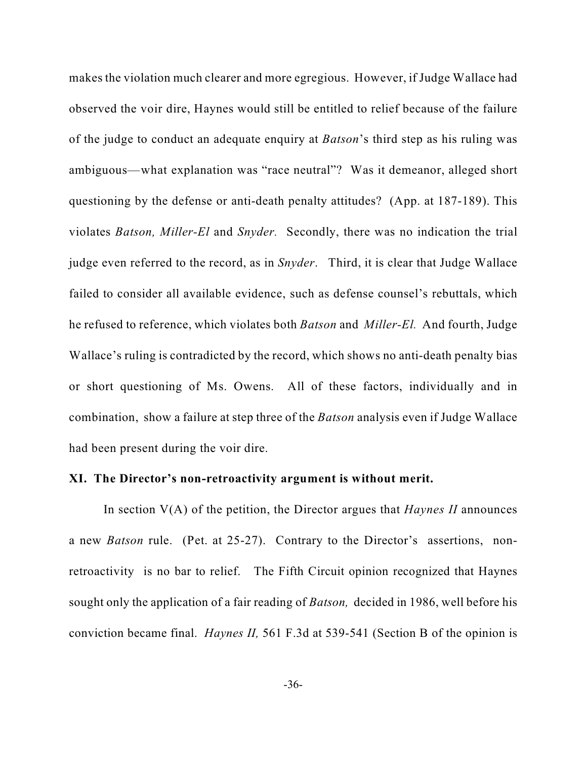makes the violation much clearer and more egregious. However, if Judge Wallace had observed the voir dire, Haynes would still be entitled to relief because of the failure of the judge to conduct an adequate enquiry at *Batson*'s third step as his ruling was ambiguous—what explanation was "race neutral"? Was it demeanor, alleged short questioning by the defense or anti-death penalty attitudes? (App. at 187-189). This violates *Batson, Miller-El* and *Snyder.* Secondly, there was no indication the trial judge even referred to the record, as in *Snyder*. Third, it is clear that Judge Wallace failed to consider all available evidence, such as defense counsel's rebuttals, which he refused to reference, which violates both *Batson* and *Miller-El.* And fourth, Judge Wallace's ruling is contradicted by the record, which shows no anti-death penalty bias or short questioning of Ms. Owens. All of these factors, individually and in combination, show a failure at step three of the *Batson* analysis even if Judge Wallace had been present during the voir dire.

#### **XI. The Director's non-retroactivity argument is without merit.**

In section V(A) of the petition, the Director argues that *Haynes II* announces a new *Batson* rule. (Pet. at 25-27). Contrary to the Director's assertions, nonretroactivity is no bar to relief. The Fifth Circuit opinion recognized that Haynes sought only the application of a fair reading of *Batson,* decided in 1986, well before his conviction became final. *Haynes II,* 561 F.3d at 539-541 (Section B of the opinion is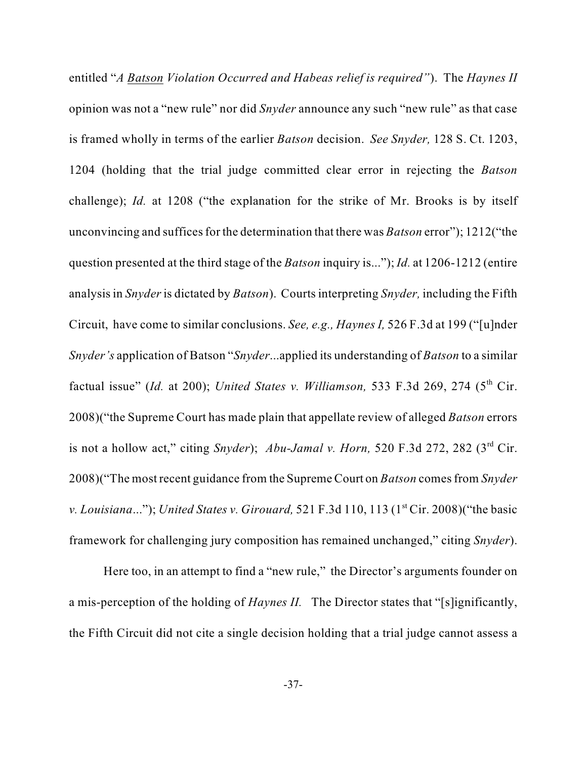entitled "*A Batson Violation Occurred and Habeas relief is required"*). The *Haynes II* opinion was not a "new rule" nor did *Snyder* announce any such "new rule" as that case is framed wholly in terms of the earlier *Batson* decision. *See Snyder,* 128 S. Ct. 1203, 1204 (holding that the trial judge committed clear error in rejecting the *Batson* challenge); *Id.* at 1208 ("the explanation for the strike of Mr. Brooks is by itself unconvincing and suffices for the determination that there was *Batson* error"); 1212("the question presented at the third stage of the *Batson* inquiry is..."); *Id.* at 1206-1212 (entire analysis in *Snyder* is dictated by *Batson*). Courts interpreting *Snyder,* including the Fifth Circuit, have come to similar conclusions. *See, e.g., Haynes I,* 526 F.3d at 199 ("[u]nder *Snyder's* application of Batson "*Snyder*...applied its understanding of *Batson* to a similar factual issue" (*Id.* at 200); *United States v. Williamson*, 533 F.3d 269, 274 (5<sup>th</sup> Cir. 2008)("the Supreme Court has made plain that appellate review of alleged *Batson* errors is not a hollow act," citing *Snyder*); *Abu-Jamal v. Horn,* 520 F.3d 272, 282 ( $3<sup>rd</sup>$  Cir. 2008)("The most recent guidance from the Supreme Court on *Batson* comes from *Snyder v. Louisiana..."*); *United States v. Girouard,* 521 F.3d 110, 113 (1<sup>st</sup> Cir. 2008)("the basic framework for challenging jury composition has remained unchanged," citing *Snyder*).

Here too, in an attempt to find a "new rule," the Director's arguments founder on a mis-perception of the holding of *Haynes II.* The Director states that "[s]ignificantly, the Fifth Circuit did not cite a single decision holding that a trial judge cannot assess a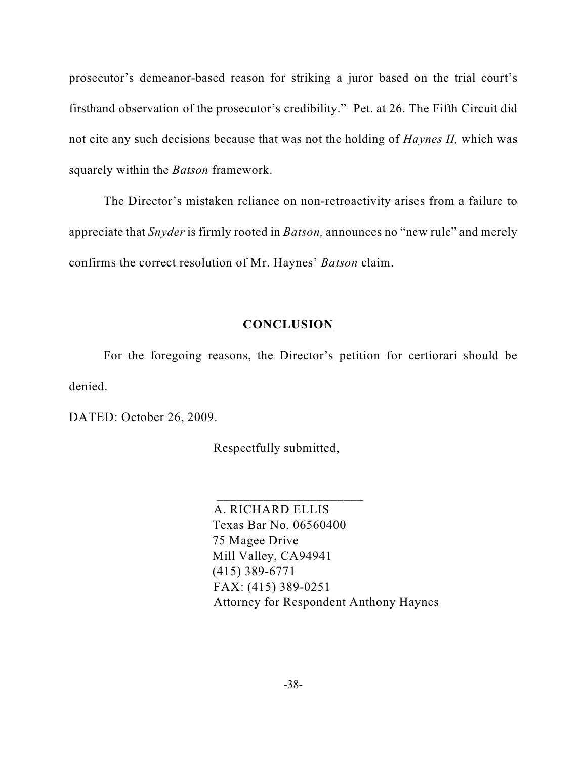prosecutor's demeanor-based reason for striking a juror based on the trial court's firsthand observation of the prosecutor's credibility." Pet. at 26. The Fifth Circuit did not cite any such decisions because that was not the holding of *Haynes II,* which was squarely within the *Batson* framework.

The Director's mistaken reliance on non-retroactivity arises from a failure to appreciate that *Snyder* is firmly rooted in *Batson,* announces no "new rule" and merely confirms the correct resolution of Mr. Haynes' *Batson* claim.

### **CONCLUSION**

For the foregoing reasons, the Director's petition for certiorari should be denied.

DATED: October 26, 2009.

Respectfully submitted,

 $\frac{1}{2}$  , and the set of the set of the set of the set of the set of the set of the set of the set of the set of the set of the set of the set of the set of the set of the set of the set of the set of the set of the set

 A. RICHARD ELLIS Texas Bar No. 06560400 75 Magee Drive Mill Valley, CA94941 (415) 389-6771 FAX: (415) 389-0251 Attorney for Respondent Anthony Haynes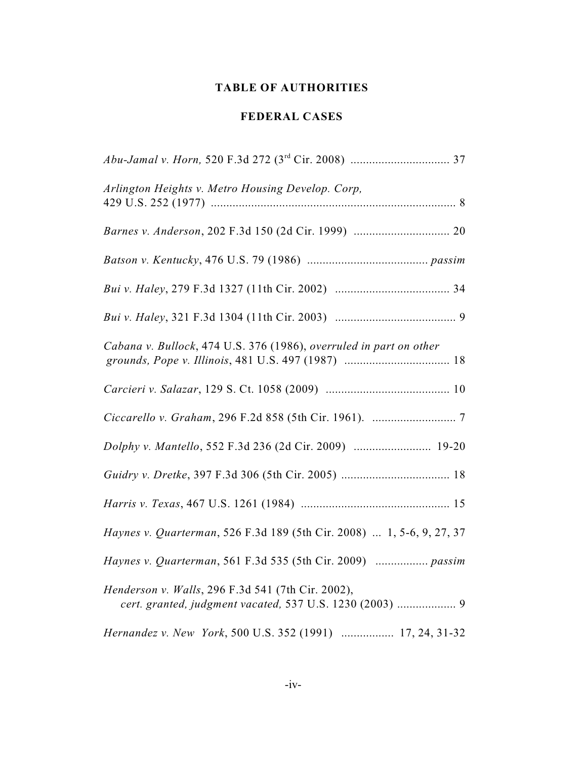### **TABLE OF AUTHORITIES**

### **FEDERAL CASES**

| Arlington Heights v. Metro Housing Develop. Corp,                                                             |
|---------------------------------------------------------------------------------------------------------------|
|                                                                                                               |
|                                                                                                               |
|                                                                                                               |
|                                                                                                               |
| Cabana v. Bullock, 474 U.S. 376 (1986), overruled in part on other                                            |
|                                                                                                               |
|                                                                                                               |
| Dolphy v. Mantello, 552 F.3d 236 (2d Cir. 2009)  19-20                                                        |
|                                                                                                               |
|                                                                                                               |
| Haynes v. Quarterman, 526 F.3d 189 (5th Cir. 2008)  1, 5-6, 9, 27, 37                                         |
| Haynes v. Quarterman, 561 F.3d 535 (5th Cir. 2009)  passim                                                    |
| Henderson v. Walls, 296 F.3d 541 (7th Cir. 2002),<br>cert. granted, judgment vacated, 537 U.S. 1230 (2003)  9 |
| Hernandez v. New York, 500 U.S. 352 (1991)  17, 24, 31-32                                                     |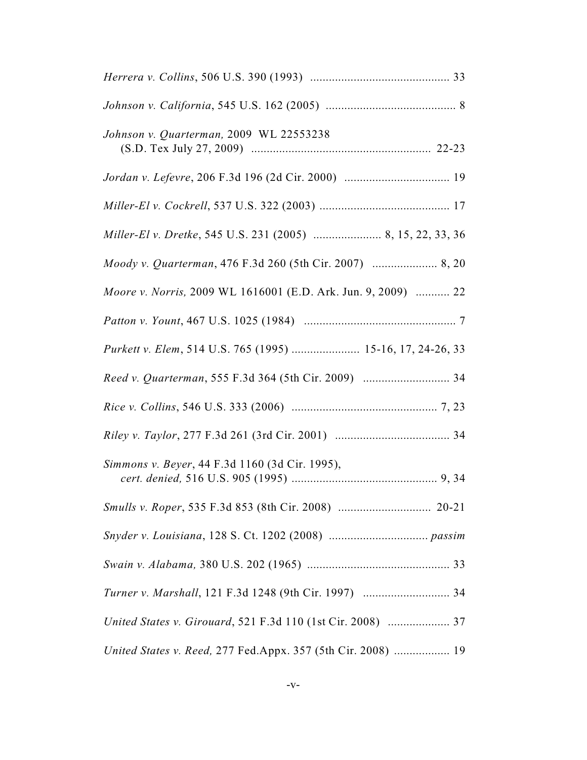| Johnson v. Quarterman, 2009 WL 22553238                       |
|---------------------------------------------------------------|
|                                                               |
|                                                               |
|                                                               |
|                                                               |
| Moore v. Norris, 2009 WL 1616001 (E.D. Ark. Jun. 9, 2009)  22 |
|                                                               |
| Purkett v. Elem, 514 U.S. 765 (1995)  15-16, 17, 24-26, 33    |
|                                                               |
|                                                               |
|                                                               |
| Simmons v. Beyer, 44 F.3d 1160 (3d Cir. 1995),                |
|                                                               |
|                                                               |
|                                                               |
| Turner v. Marshall, 121 F.3d 1248 (9th Cir. 1997)  34         |
| United States v. Girouard, 521 F.3d 110 (1st Cir. 2008)  37   |
| United States v. Reed, 277 Fed.Appx. 357 (5th Cir. 2008)  19  |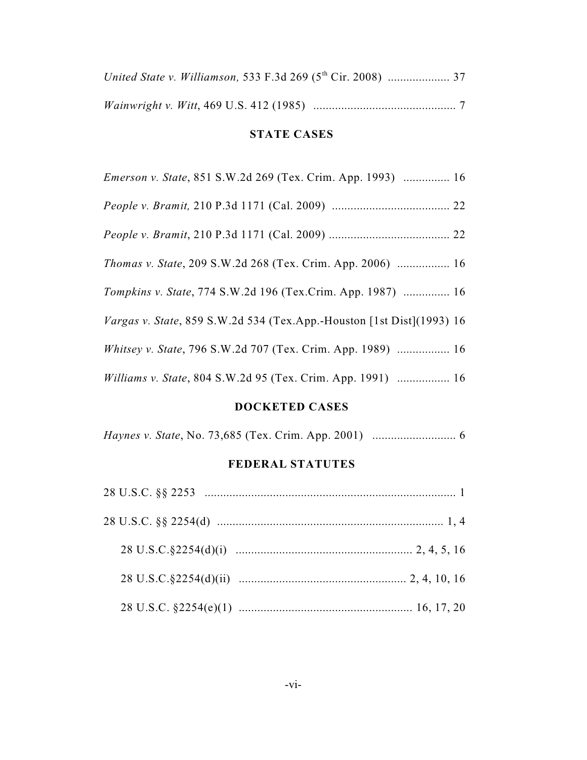# **STATE CASES**

| <i>Emerson v. State, 851 S.W.2d 269 (Tex. Crim. App. 1993)  16</i>           |
|------------------------------------------------------------------------------|
|                                                                              |
|                                                                              |
| <i>Thomas v. State, 209 S.W.2d 268 (Tex. Crim. App. 2006)  16</i>            |
| Tompkins v. State, 774 S.W.2d 196 (Tex.Crim. App. 1987)  16                  |
| <i>Vargas v. State, 859 S.W.2d 534 (Tex.App.-Houston [1st Dist](1993) 16</i> |
| <i>Whitsey v. State, 796 S.W.2d 707 (Tex. Crim. App. 1989)  16</i>           |
| Williams v. State, 804 S.W.2d 95 (Tex. Crim. App. 1991)  16                  |

### **DOCKETED CASES**

*Haynes v. State*, No. 73,685 (Tex. Crim. App. 2001) ........................... 6

## **FEDERAL STATUTES**